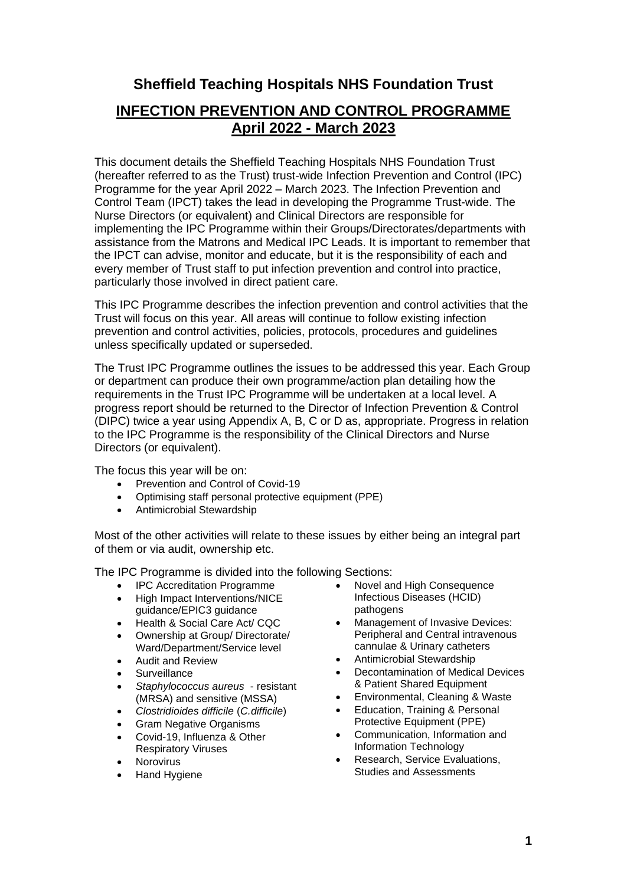# **Sheffield Teaching Hospitals NHS Foundation Trust**

# **INFECTION PREVENTION AND CONTROL PROGRAMME April 2022 - March 2023**

This document details the Sheffield Teaching Hospitals NHS Foundation Trust (hereafter referred to as the Trust) trust-wide Infection Prevention and Control (IPC) Programme for the year April 2022 – March 2023. The Infection Prevention and Control Team (IPCT) takes the lead in developing the Programme Trust-wide. The Nurse Directors (or equivalent) and Clinical Directors are responsible for implementing the IPC Programme within their Groups/Directorates/departments with assistance from the Matrons and Medical IPC Leads. It is important to remember that the IPCT can advise, monitor and educate, but it is the responsibility of each and every member of Trust staff to put infection prevention and control into practice, particularly those involved in direct patient care.

This IPC Programme describes the infection prevention and control activities that the Trust will focus on this year. All areas will continue to follow existing infection prevention and control activities, policies, protocols, procedures and guidelines unless specifically updated or superseded.

The Trust IPC Programme outlines the issues to be addressed this year. Each Group or department can produce their own programme/action plan detailing how the requirements in the Trust IPC Programme will be undertaken at a local level. A progress report should be returned to the Director of Infection Prevention & Control (DIPC) twice a year using Appendix A, B, C or D as, appropriate. Progress in relation to the IPC Programme is the responsibility of the Clinical Directors and Nurse Directors (or equivalent).

The focus this year will be on:

- Prevention and Control of Covid-19
- Optimising staff personal protective equipment (PPE)
- Antimicrobial Stewardship

Most of the other activities will relate to these issues by either being an integral part of them or via audit, ownership etc.

The IPC Programme is divided into the following Sections:

- IPC Accreditation Programme
- High Impact Interventions/NICE guidance/EPIC3 guidance
- Health & Social Care Act/ CQC
- Ownership at Group/ Directorate/ Ward/Department/Service level
- Audit and Review
- **Surveillance**
- *Staphylococcus aureus* resistant (MRSA) and sensitive (MSSA)
- *Clostridioides difficile* (*C.difficile*)
- Gram Negative Organisms
- Covid-19, Influenza & Other Respiratory Viruses
- **Norovirus**
- Hand Hygiene
- Novel and High Consequence Infectious Diseases (HCID) pathogens
- Management of Invasive Devices: Peripheral and Central intravenous cannulae & Urinary catheters
- Antimicrobial Stewardship
- Decontamination of Medical Devices & Patient Shared Equipment
- Environmental, Cleaning & Waste
- Education, Training & Personal Protective Equipment (PPE)
- Communication, Information and Information Technology
- Research, Service Evaluations, Studies and Assessments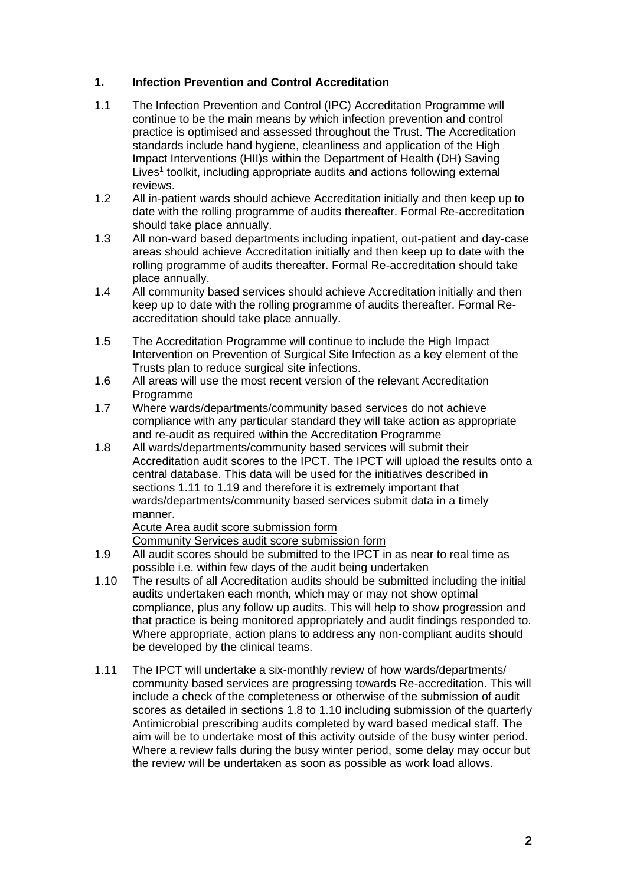## **1. Infection Prevention and Control Accreditation**

- 1.1 The Infection Prevention and Control (IPC) Accreditation Programme will continue to be the main means by which infection prevention and control practice is optimised and assessed throughout the Trust. The Accreditation standards include hand hygiene, cleanliness and application of the High Impact Interventions (HII)s within the Department of Health (DH) Saving Lives<sup>1</sup> toolkit, including appropriate audits and actions following external reviews.
- 1.2 All in-patient wards should achieve Accreditation initially and then keep up to date with the rolling programme of audits thereafter. Formal Re-accreditation should take place annually.
- 1.3 All non-ward based departments including inpatient, out-patient and day-case areas should achieve Accreditation initially and then keep up to date with the rolling programme of audits thereafter. Formal Re-accreditation should take place annually.
- 1.4 All community based services should achieve Accreditation initially and then keep up to date with the rolling programme of audits thereafter. Formal Reaccreditation should take place annually.
- 1.5 The Accreditation Programme will continue to include the High Impact Intervention on Prevention of Surgical Site Infection as a key element of the Trusts plan to reduce surgical site infections.
- 1.6 All areas will use the most recent version of the relevant Accreditation Programme
- 1.7 Where wards/departments/community based services do not achieve compliance with any particular standard they will take action as appropriate and re-audit as required within the Accreditation Programme
- 1.8 All wards/departments/community based services will submit their Accreditation audit scores to the IPCT. The IPCT will upload the results onto a central database. This data will be used for the initiatives described in sections 1.11 to 1.19 and therefore it is extremely important that wards/departments/community based services submit data in a timely manner.

[Acute Area audit score submission form](http://nww.sth.nhs.uk/NHS/InfectionControl/AuditTools/Audit%20Score%20Return%20Form.xlsx) [Community Services audit score submission form](http://nww.sth.nhs.uk/NHS/InfectionControl/AuditTools/Community%20Audit%20Score%20Return%20Form.xlsx)

- 1.9 All audit scores should be submitted to the IPCT in as near to real time as possible i.e. within few days of the audit being undertaken
- 1.10 The results of all Accreditation audits should be submitted including the initial audits undertaken each month, which may or may not show optimal compliance, plus any follow up audits. This will help to show progression and that practice is being monitored appropriately and audit findings responded to. Where appropriate, action plans to address any non-compliant audits should be developed by the clinical teams.
- 1.11 The IPCT will undertake a six-monthly review of how wards/departments/ community based services are progressing towards Re-accreditation. This will include a check of the completeness or otherwise of the submission of audit scores as detailed in sections 1.8 to 1.10 including submission of the quarterly Antimicrobial prescribing audits completed by ward based medical staff. The aim will be to undertake most of this activity outside of the busy winter period. Where a review falls during the busy winter period, some delay may occur but the review will be undertaken as soon as possible as work load allows.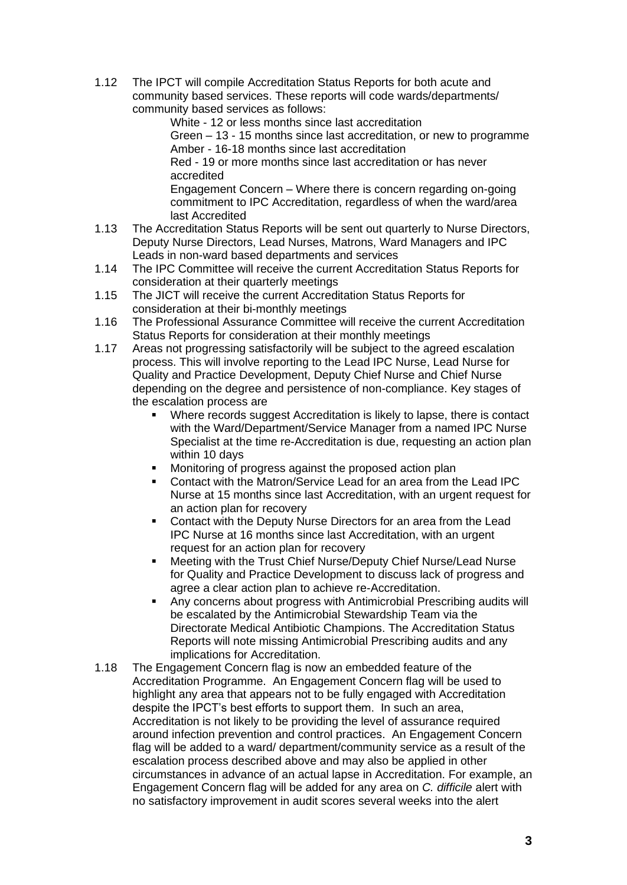1.12 The IPCT will compile Accreditation Status Reports for both acute and community based services. These reports will code wards/departments/ community based services as follows:

White - 12 or less months since last accreditation

Green – 13 - 15 months since last accreditation, or new to programme Amber - 16-18 months since last accreditation

Red - 19 or more months since last accreditation or has never accredited

Engagement Concern – Where there is concern regarding on-going commitment to IPC Accreditation, regardless of when the ward/area last Accredited

- 1.13 The Accreditation Status Reports will be sent out quarterly to Nurse Directors, Deputy Nurse Directors, Lead Nurses, Matrons, Ward Managers and IPC Leads in non-ward based departments and services
- 1.14 The IPC Committee will receive the current Accreditation Status Reports for consideration at their quarterly meetings
- 1.15 The JICT will receive the current Accreditation Status Reports for consideration at their bi-monthly meetings
- 1.16 The Professional Assurance Committee will receive the current Accreditation Status Reports for consideration at their monthly meetings
- 1.17 Areas not progressing satisfactorily will be subject to the agreed escalation process. This will involve reporting to the Lead IPC Nurse, Lead Nurse for Quality and Practice Development, Deputy Chief Nurse and Chief Nurse depending on the degree and persistence of non-compliance. Key stages of the escalation process are
	- Where records suggest Accreditation is likely to lapse, there is contact with the Ward/Department/Service Manager from a named IPC Nurse Specialist at the time re-Accreditation is due, requesting an action plan within 10 days
	- Monitoring of progress against the proposed action plan
	- Contact with the Matron/Service Lead for an area from the Lead IPC Nurse at 15 months since last Accreditation, with an urgent request for an action plan for recovery
	- Contact with the Deputy Nurse Directors for an area from the Lead IPC Nurse at 16 months since last Accreditation, with an urgent request for an action plan for recovery
	- Meeting with the Trust Chief Nurse/Deputy Chief Nurse/Lead Nurse for Quality and Practice Development to discuss lack of progress and agree a clear action plan to achieve re-Accreditation.
	- Any concerns about progress with Antimicrobial Prescribing audits will be escalated by the Antimicrobial Stewardship Team via the Directorate Medical Antibiotic Champions. The Accreditation Status Reports will note missing Antimicrobial Prescribing audits and any implications for Accreditation.
- 1.18 The Engagement Concern flag is now an embedded feature of the Accreditation Programme. An Engagement Concern flag will be used to highlight any area that appears not to be fully engaged with Accreditation despite the IPCT's best efforts to support them. In such an area, Accreditation is not likely to be providing the level of assurance required around infection prevention and control practices. An Engagement Concern flag will be added to a ward/ department/community service as a result of the escalation process described above and may also be applied in other circumstances in advance of an actual lapse in Accreditation. For example, an Engagement Concern flag will be added for any area on *C. difficile* alert with no satisfactory improvement in audit scores several weeks into the alert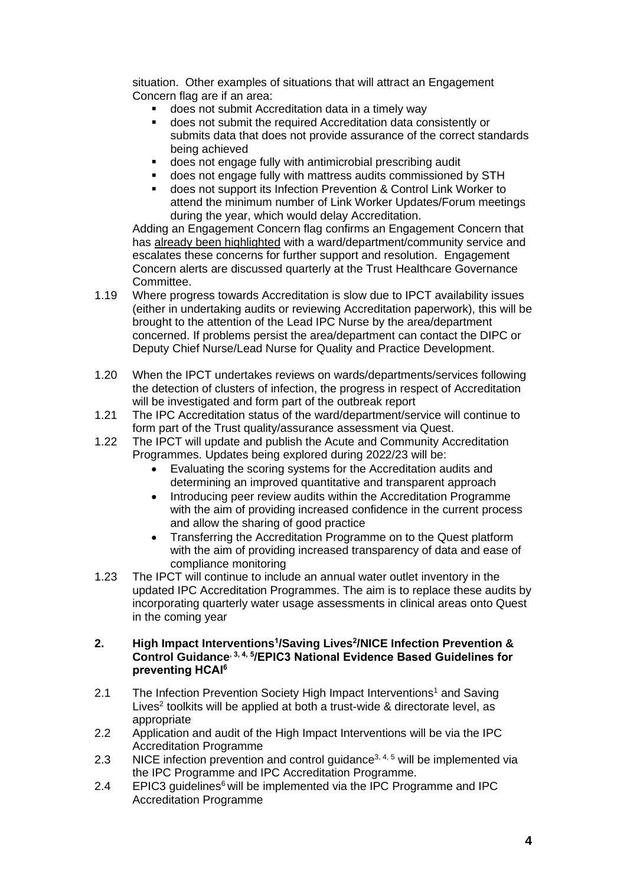situation. Other examples of situations that will attract an Engagement Concern flag are if an area:

- does not submit Accreditation data in a timely way
- does not submit the required Accreditation data consistently or submits data that does not provide assurance of the correct standards being achieved
- does not engage fully with antimicrobial prescribing audit
- does not engage fully with mattress audits commissioned by STH
- does not support its Infection Prevention & Control Link Worker to attend the minimum number of Link Worker Updates/Forum meetings during the year, which would delay Accreditation.

Adding an Engagement Concern flag confirms an Engagement Concern that has already been highlighted with a ward/department/community service and escalates these concerns for further support and resolution. Engagement Concern alerts are discussed quarterly at the Trust Healthcare Governance Committee.

- 1.19 Where progress towards Accreditation is slow due to IPCT availability issues (either in undertaking audits or reviewing Accreditation paperwork), this will be brought to the attention of the Lead IPC Nurse by the area/department concerned. If problems persist the area/department can contact the DIPC or Deputy Chief Nurse/Lead Nurse for Quality and Practice Development.
- 1.20 When the IPCT undertakes reviews on wards/departments/services following the detection of clusters of infection, the progress in respect of Accreditation will be investigated and form part of the outbreak report
- 1.21 The IPC Accreditation status of the ward/department/service will continue to form part of the Trust quality/assurance assessment via Quest.
- 1.22 The IPCT will update and publish the Acute and Community Accreditation Programmes. Updates being explored during 2022/23 will be:
	- Evaluating the scoring systems for the Accreditation audits and determining an improved quantitative and transparent approach
	- Introducing peer review audits within the Accreditation Programme with the aim of providing increased confidence in the current process and allow the sharing of good practice
	- Transferring the Accreditation Programme on to the Quest platform with the aim of providing increased transparency of data and ease of compliance monitoring
- 1.23 The IPCT will continue to include an annual water outlet inventory in the updated IPC Accreditation Programmes. The aim is to replace these audits by incorporating quarterly water usage assessments in clinical areas onto Quest in the coming year

#### **2. High Impact Interventions<sup>1</sup> /Saving Lives<sup>2</sup> /NICE Infection Prevention & Control Guidance, 3, 4, 5/EPIC3 National Evidence Based Guidelines for preventing HCAI<sup>6</sup>**

- 2.1 The Infection Prevention Society High Impact Interventions<sup>1</sup> and Saving Lives<sup>2</sup> toolkits will be applied at both a trust-wide & directorate level, as appropriate
- 2.2 Application and audit of the High Impact Interventions will be via the IPC Accreditation Programme
- 2.3 NICE infection prevention and control guidance<sup>3, 4, 5</sup> will be implemented via the IPC Programme and IPC Accreditation Programme.
- 2.4 EPIC3 guidelines $6$  will be implemented via the IPC Programme and IPC Accreditation Programme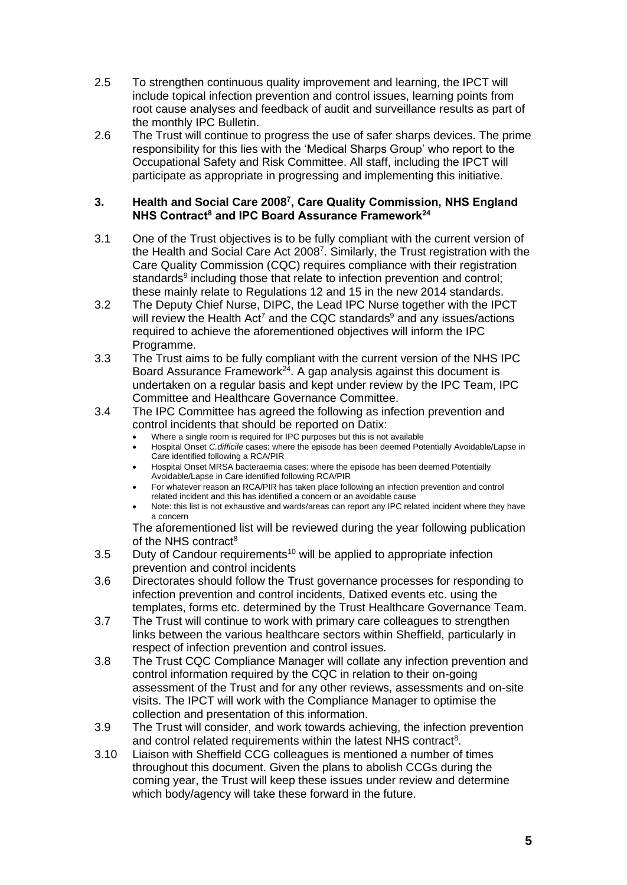- 2.5 To strengthen continuous quality improvement and learning, the IPCT will include topical infection prevention and control issues, learning points from root cause analyses and feedback of audit and surveillance results as part of the monthly IPC Bulletin.
- 2.6 The Trust will continue to progress the use of safer sharps devices. The prime responsibility for this lies with the 'Medical Sharps Group' who report to the Occupational Safety and Risk Committee. All staff, including the IPCT will participate as appropriate in progressing and implementing this initiative.

#### **3. Health and Social Care 2008<sup>7</sup> , Care Quality Commission, NHS England NHS Contract<sup>8</sup> and IPC Board Assurance Framework<sup>24</sup>**

- 3.1 One of the Trust objectives is to be fully compliant with the current version of the Health and Social Care Act 2008<sup>7</sup>. Similarly, the Trust registration with the Care Quality Commission (CQC) requires compliance with their registration standards<sup>9</sup> including those that relate to infection prevention and control; these mainly relate to Regulations 12 and 15 in the new 2014 standards.
- 3.2 The Deputy Chief Nurse, DIPC, the Lead IPC Nurse together with the IPCT will review the Health Act<sup>7</sup> and the CQC standards<sup>9</sup> and any issues/actions required to achieve the aforementioned objectives will inform the IPC Programme.
- 3.3 The Trust aims to be fully compliant with the current version of the NHS IPC Board Assurance Framework $24$ . A gap analysis against this document is undertaken on a regular basis and kept under review by the IPC Team, IPC Committee and Healthcare Governance Committee.
- 3.4 The IPC Committee has agreed the following as infection prevention and control incidents that should be reported on Datix:
	- Where a single room is required for IPC purposes but this is not available
	- Hospital Onset *C.difficile* cases: where the episode has been deemed Potentially Avoidable/Lapse in Care identified following a RCA/PIR
	- Hospital Onset MRSA bacteraemia cases: where the episode has been deemed Potentially Avoidable/Lapse in Care identified following RCA/PIR
	- For whatever reason an RCA/PIR has taken place following an infection prevention and control related incident and this has identified a concern or an avoidable cause
	- Note: this list is not exhaustive and wards/areas can report any IPC related incident where they have a concern

The aforementioned list will be reviewed during the year following publication of the NHS contract<sup>8</sup>

- $3.5$  Duty of Candour requirements<sup>10</sup> will be applied to appropriate infection prevention and control incidents
- 3.6 Directorates should follow the Trust governance processes for responding to infection prevention and control incidents, Datixed events etc. using the templates, forms etc. determined by the Trust Healthcare Governance Team.
- 3.7 The Trust will continue to work with primary care colleagues to strengthen links between the various healthcare sectors within Sheffield, particularly in respect of infection prevention and control issues.
- 3.8 The Trust CQC Compliance Manager will collate any infection prevention and control information required by the CQC in relation to their on-going assessment of the Trust and for any other reviews, assessments and on-site visits. The IPCT will work with the Compliance Manager to optimise the collection and presentation of this information.
- 3.9 The Trust will consider, and work towards achieving, the infection prevention and control related requirements within the latest NHS contract<sup>8</sup>.
- 3.10 Liaison with Sheffield CCG colleagues is mentioned a number of times throughout this document. Given the plans to abolish CCGs during the coming year, the Trust will keep these issues under review and determine which body/agency will take these forward in the future.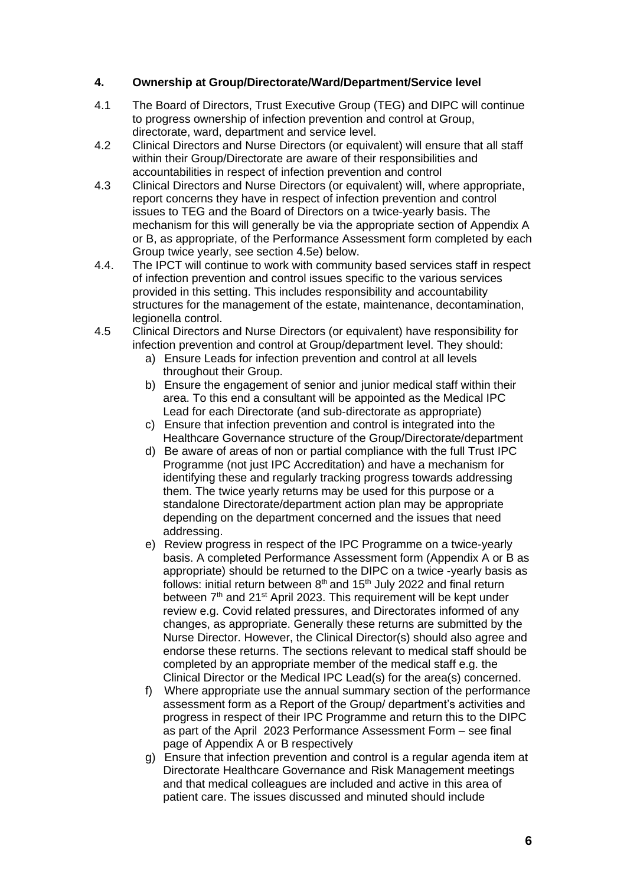## **4. Ownership at Group/Directorate/Ward/Department/Service level**

- 4.1 The Board of Directors, Trust Executive Group (TEG) and DIPC will continue to progress ownership of infection prevention and control at Group, directorate, ward, department and service level.
- 4.2 Clinical Directors and Nurse Directors (or equivalent) will ensure that all staff within their Group/Directorate are aware of their responsibilities and accountabilities in respect of infection prevention and control
- 4.3 Clinical Directors and Nurse Directors (or equivalent) will, where appropriate, report concerns they have in respect of infection prevention and control issues to TEG and the Board of Directors on a twice-yearly basis. The mechanism for this will generally be via the appropriate section of Appendix A or B, as appropriate, of the Performance Assessment form completed by each Group twice yearly, see section 4.5e) below.
- 4.4. The IPCT will continue to work with community based services staff in respect of infection prevention and control issues specific to the various services provided in this setting. This includes responsibility and accountability structures for the management of the estate, maintenance, decontamination, legionella control.
- 4.5 Clinical Directors and Nurse Directors (or equivalent) have responsibility for infection prevention and control at Group/department level. They should:
	- a) Ensure Leads for infection prevention and control at all levels throughout their Group.
	- b) Ensure the engagement of senior and junior medical staff within their area. To this end a consultant will be appointed as the Medical IPC Lead for each Directorate (and sub-directorate as appropriate)
	- c) Ensure that infection prevention and control is integrated into the Healthcare Governance structure of the Group/Directorate/department
	- d) Be aware of areas of non or partial compliance with the full Trust IPC Programme (not just IPC Accreditation) and have a mechanism for identifying these and regularly tracking progress towards addressing them. The twice yearly returns may be used for this purpose or a standalone Directorate/department action plan may be appropriate depending on the department concerned and the issues that need addressing.
	- e) Review progress in respect of the IPC Programme on a twice-yearly basis. A completed Performance Assessment form (Appendix A or B as appropriate) should be returned to the DIPC on a twice -yearly basis as follows: initial return between  $8<sup>th</sup>$  and  $15<sup>th</sup>$  July 2022 and final return between 7<sup>th</sup> and 21<sup>st</sup> April 2023. This requirement will be kept under review e.g. Covid related pressures, and Directorates informed of any changes, as appropriate. Generally these returns are submitted by the Nurse Director. However, the Clinical Director(s) should also agree and endorse these returns. The sections relevant to medical staff should be completed by an appropriate member of the medical staff e.g. the Clinical Director or the Medical IPC Lead(s) for the area(s) concerned.
	- f) Where appropriate use the annual summary section of the performance assessment form as a Report of the Group/ department's activities and progress in respect of their IPC Programme and return this to the DIPC as part of the April 2023 Performance Assessment Form – see final page of Appendix A or B respectively
	- g) Ensure that infection prevention and control is a regular agenda item at Directorate Healthcare Governance and Risk Management meetings and that medical colleagues are included and active in this area of patient care. The issues discussed and minuted should include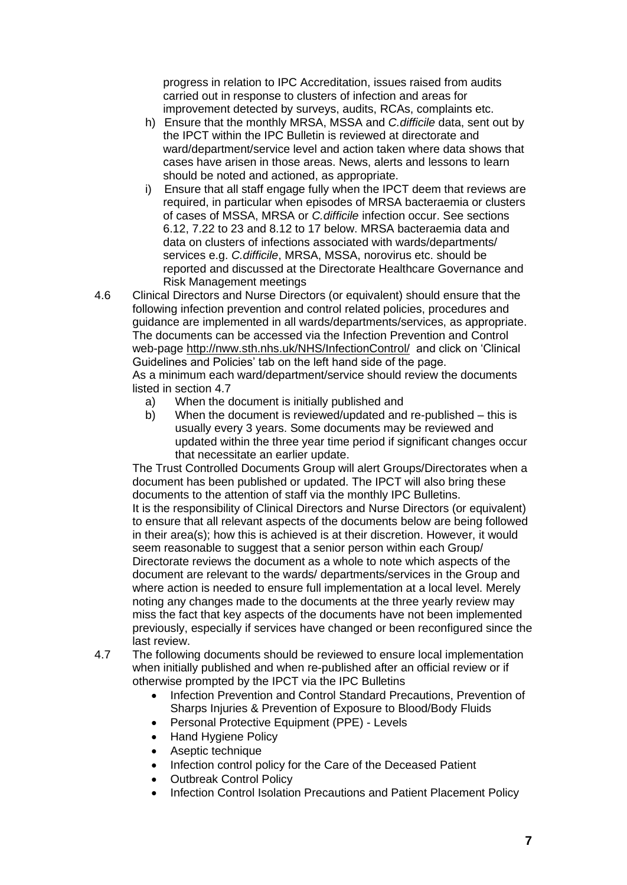progress in relation to IPC Accreditation, issues raised from audits carried out in response to clusters of infection and areas for improvement detected by surveys, audits, RCAs, complaints etc.

- h) Ensure that the monthly MRSA, MSSA and *C.difficile* data, sent out by the IPCT within the IPC Bulletin is reviewed at directorate and ward/department/service level and action taken where data shows that cases have arisen in those areas. News, alerts and lessons to learn should be noted and actioned, as appropriate.
- i) Ensure that all staff engage fully when the IPCT deem that reviews are required, in particular when episodes of MRSA bacteraemia or clusters of cases of MSSA, MRSA or *C.difficile* infection occur. See sections 6.12, 7.22 to 23 and 8.12 to 17 below. MRSA bacteraemia data and data on clusters of infections associated with wards/departments/ services e.g. *C.difficile*, MRSA, MSSA, norovirus etc. should be reported and discussed at the Directorate Healthcare Governance and Risk Management meetings
- 4.6 Clinical Directors and Nurse Directors (or equivalent) should ensure that the following infection prevention and control related policies, procedures and guidance are implemented in all wards/departments/services, as appropriate. The documents can be accessed via the Infection Prevention and Control web-page <http://nww.sth.nhs.uk/NHS/InfectionControl/> and click on 'Clinical Guidelines and Policies' tab on the left hand side of the page. As a minimum each ward/department/service should review the documents listed in section 4.7
	- a) When the document is initially published and
	- b) When the document is reviewed/updated and re-published this is usually every 3 years. Some documents may be reviewed and updated within the three year time period if significant changes occur that necessitate an earlier update.

The Trust Controlled Documents Group will alert Groups/Directorates when a document has been published or updated. The IPCT will also bring these documents to the attention of staff via the monthly IPC Bulletins. It is the responsibility of Clinical Directors and Nurse Directors (or equivalent) to ensure that all relevant aspects of the documents below are being followed in their area(s); how this is achieved is at their discretion. However, it would seem reasonable to suggest that a senior person within each Group/ Directorate reviews the document as a whole to note which aspects of the document are relevant to the wards/ departments/services in the Group and where action is needed to ensure full implementation at a local level. Merely noting any changes made to the documents at the three yearly review may miss the fact that key aspects of the documents have not been implemented previously, especially if services have changed or been reconfigured since the last review.

- 4.7 The following documents should be reviewed to ensure local implementation when initially published and when re-published after an official review or if otherwise prompted by the IPCT via the IPC Bulletins
	- Infection Prevention and Control Standard Precautions, Prevention of Sharps Injuries & Prevention of Exposure to Blood/Body Fluids
	- Personal Protective Equipment (PPE) Levels
	- Hand Hygiene Policy
	- Aseptic technique
	- Infection control policy for the Care of the Deceased Patient
	- Outbreak Control Policy
	- Infection Control Isolation Precautions and Patient Placement Policy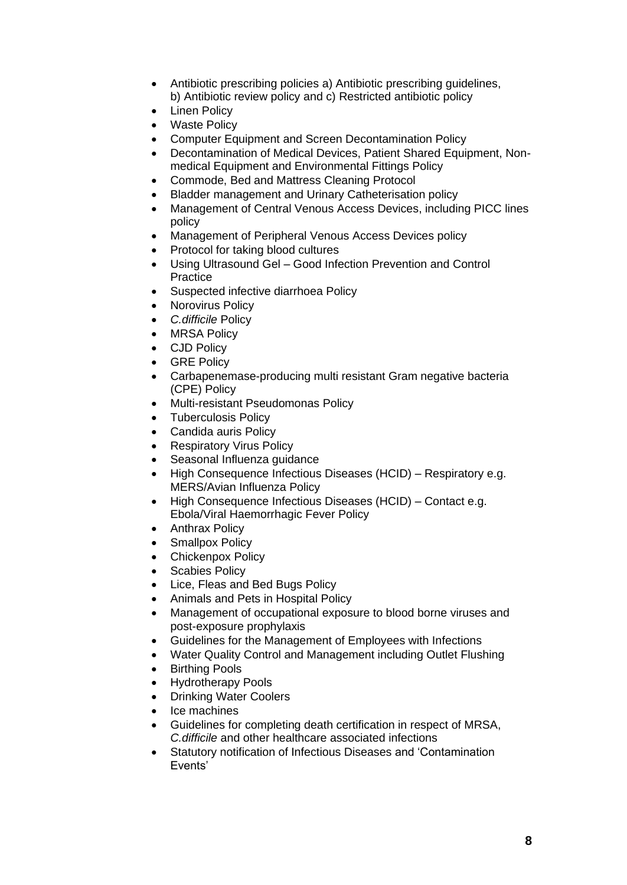- Antibiotic prescribing policies a) Antibiotic prescribing guidelines, b) Antibiotic review policy and c) Restricted antibiotic policy
- Linen Policy
- Waste Policy
- Computer Equipment and Screen Decontamination Policy
- Decontamination of Medical Devices, Patient Shared Equipment, Nonmedical Equipment and Environmental Fittings Policy
- Commode, Bed and Mattress Cleaning Protocol
- Bladder management and Urinary Catheterisation policy
- Management of Central Venous Access Devices, including PICC lines policy
- Management of Peripheral Venous Access Devices policy
- Protocol for taking blood cultures
- Using Ultrasound Gel Good Infection Prevention and Control **Practice**
- Suspected infective diarrhoea Policy
- Norovirus Policy
- *C.difficile* Policy
- MRSA Policy
- CJD Policy
- GRE Policy
- Carbapenemase-producing multi resistant Gram negative bacteria (CPE) Policy
- Multi-resistant Pseudomonas Policy
- Tuberculosis Policy
- Candida auris Policy
- Respiratory Virus Policy
- Seasonal Influenza guidance
- High Consequence Infectious Diseases (HCID) Respiratory e.g. MERS/Avian Influenza Policy
- High Consequence Infectious Diseases (HCID) Contact e.g. Ebola/Viral Haemorrhagic Fever Policy
- Anthrax Policy
- Smallpox Policy
- Chickenpox Policy
- Scabies Policy
- Lice, Fleas and Bed Bugs Policy
- Animals and Pets in Hospital Policy
- Management of occupational exposure to blood borne viruses and post-exposure prophylaxis
- Guidelines for the Management of Employees with Infections
- Water Quality Control and Management including Outlet Flushing
- Birthing Pools
- Hydrotherapy Pools
- Drinking Water Coolers
- Ice machines
- Guidelines for completing death certification in respect of MRSA, *C.difficile* and other healthcare associated infections
- Statutory notification of Infectious Diseases and 'Contamination Events'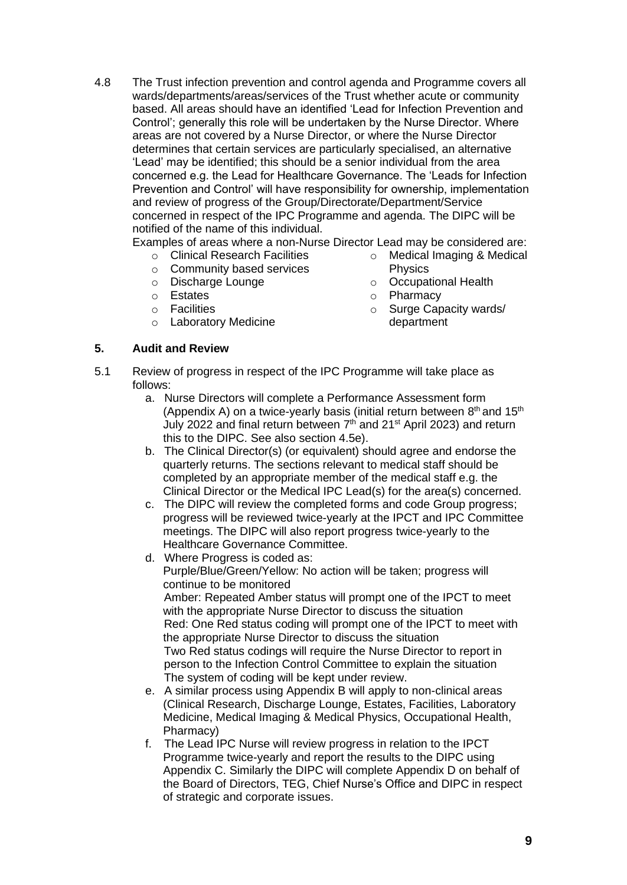4.8 The Trust infection prevention and control agenda and Programme covers all wards/departments/areas/services of the Trust whether acute or community based. All areas should have an identified 'Lead for Infection Prevention and Control': generally this role will be undertaken by the Nurse Director. Where areas are not covered by a Nurse Director, or where the Nurse Director determines that certain services are particularly specialised, an alternative 'Lead' may be identified; this should be a senior individual from the area concerned e.g. the Lead for Healthcare Governance. The 'Leads for Infection Prevention and Control' will have responsibility for ownership, implementation and review of progress of the Group/Directorate/Department/Service concerned in respect of the IPC Programme and agenda. The DIPC will be notified of the name of this individual.

Examples of areas where a non-Nurse Director Lead may be considered are:

- o Clinical Research Facilities
- o Community based services
- o Discharge Lounge
- o Estates
- o Facilities
- o Laboratory Medicine

#### **5. Audit and Review**

- o Medical Imaging & Medical Physics
- o Occupational Health
- o Pharmacy
- o Surge Capacity wards/ department
- 5.1 Review of progress in respect of the IPC Programme will take place as follows:
	- a. Nurse Directors will complete a Performance Assessment form (Appendix A) on a twice-yearly basis (initial return between  $8<sup>th</sup>$  and 15<sup>th</sup> July 2022 and final return between  $7<sup>th</sup>$  and 21<sup>st</sup> April 2023) and return this to the DIPC. See also section 4.5e).
	- b. The Clinical Director(s) (or equivalent) should agree and endorse the quarterly returns. The sections relevant to medical staff should be completed by an appropriate member of the medical staff e.g. the Clinical Director or the Medical IPC Lead(s) for the area(s) concerned.
	- c. The DIPC will review the completed forms and code Group progress; progress will be reviewed twice-yearly at the IPCT and IPC Committee meetings. The DIPC will also report progress twice-yearly to the Healthcare Governance Committee.
	- d. Where Progress is coded as:

Purple/Blue/Green/Yellow: No action will be taken; progress will continue to be monitored

Amber: Repeated Amber status will prompt one of the IPCT to meet with the appropriate Nurse Director to discuss the situation Red: One Red status coding will prompt one of the IPCT to meet with the appropriate Nurse Director to discuss the situation Two Red status codings will require the Nurse Director to report in person to the Infection Control Committee to explain the situation The system of coding will be kept under review.

- e. A similar process using Appendix B will apply to non-clinical areas (Clinical Research, Discharge Lounge, Estates, Facilities, Laboratory Medicine, Medical Imaging & Medical Physics, Occupational Health, Pharmacy)
- f. The Lead IPC Nurse will review progress in relation to the IPCT Programme twice-yearly and report the results to the DIPC using Appendix C. Similarly the DIPC will complete Appendix D on behalf of the Board of Directors, TEG, Chief Nurse's Office and DIPC in respect of strategic and corporate issues.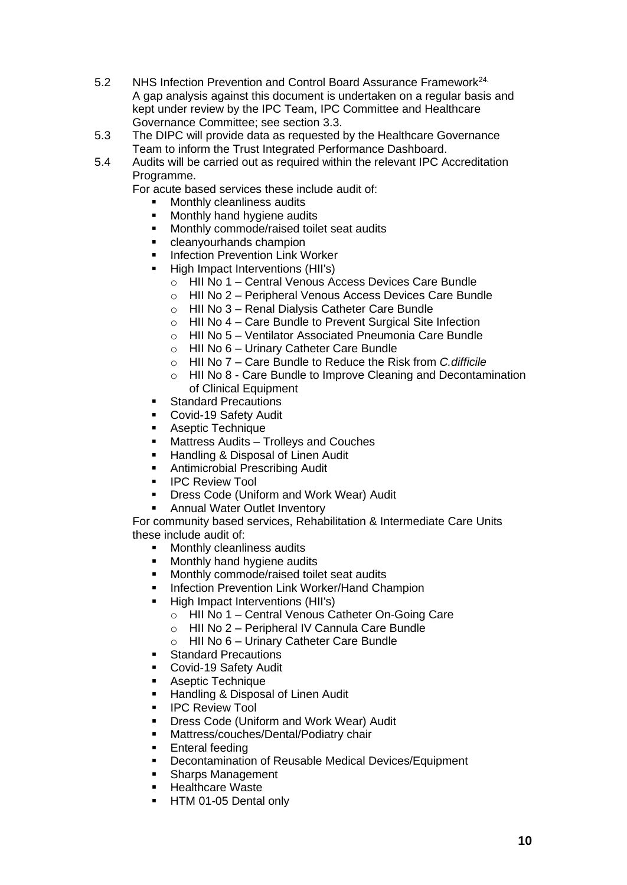- 5.2 NHS Infection Prevention and Control Board Assurance Framework24. A gap analysis against this document is undertaken on a regular basis and kept under review by the IPC Team, IPC Committee and Healthcare Governance Committee; see section 3.3.
- 5.3 The DIPC will provide data as requested by the Healthcare Governance Team to inform the Trust Integrated Performance Dashboard.
- 5.4 Audits will be carried out as required within the relevant IPC Accreditation Programme.

For acute based services these include audit of:

- Monthly cleanliness audits
- Monthly hand hygiene audits
- Monthly commode/raised toilet seat audits
- cleanyourhands champion
- **■** Infection Prevention Link Worker
- High Impact Interventions (HII's)
	- o HII No 1 Central Venous Access Devices Care Bundle
	- o HII No 2 Peripheral Venous Access Devices Care Bundle
	- o HII No 3 Renal Dialysis Catheter Care Bundle
	- o HII No 4 Care Bundle to Prevent Surgical Site Infection
	- o HII No 5 Ventilator Associated Pneumonia Care Bundle
	- o HII No 6 Urinary Catheter Care Bundle
	- o HII No 7 Care Bundle to Reduce the Risk from *C.difficile*
	- o HII No 8 Care Bundle to Improve Cleaning and Decontamination of Clinical Equipment
- **Standard Precautions**
- Covid-19 Safety Audit
- Aseptic Technique
- Mattress Audits Trolleys and Couches
- Handling & Disposal of Linen Audit
- Antimicrobial Prescribing Audit
- **IPC Review Tool**
- Dress Code (Uniform and Work Wear) Audit
- **Annual Water Outlet Inventory**

For community based services, Rehabilitation & Intermediate Care Units these include audit of:

- Monthly cleanliness audits
- Monthly hand hygiene audits
- Monthly commode/raised toilet seat audits
- Infection Prevention Link Worker/Hand Champion
- High Impact Interventions (HII's)
	- o HII No 1 Central Venous Catheter On-Going Care
	- o HII No 2 Peripheral IV Cannula Care Bundle
	- o HII No 6 Urinary Catheter Care Bundle
- Standard Precautions
- Covid-19 Safety Audit
- Aseptic Technique
- **Handling & Disposal of Linen Audit**<br>• IPC Review Tool
- **IPC Review Tool**
- **Dress Code (Uniform and Work Wear) Audit**
- Mattress/couches/Dental/Podiatry chair
- **•** Enteral feeding
- Decontamination of Reusable Medical Devices/Equipment<br>■ Sharns Management
- **Sharps Management**
- Healthcare Waste
- **E** HTM 01-05 Dental only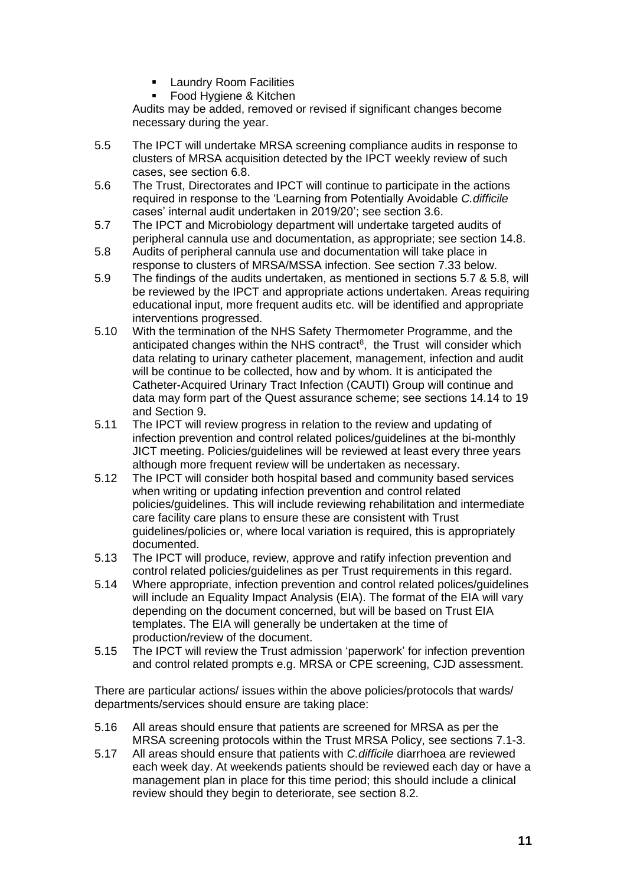- **■** Laundry Room Facilities
- Food Hygiene & Kitchen

Audits may be added, removed or revised if significant changes become necessary during the year.

- 5.5 The IPCT will undertake MRSA screening compliance audits in response to clusters of MRSA acquisition detected by the IPCT weekly review of such cases, see section 6.8.
- 5.6 The Trust, Directorates and IPCT will continue to participate in the actions required in response to the 'Learning from Potentially Avoidable *C.difficile* cases' internal audit undertaken in 2019/20'; see section 3.6.
- 5.7 The IPCT and Microbiology department will undertake targeted audits of peripheral cannula use and documentation, as appropriate; see section 14.8.
- 5.8 Audits of peripheral cannula use and documentation will take place in response to clusters of MRSA/MSSA infection. See section 7.33 below.
- 5.9 The findings of the audits undertaken, as mentioned in sections 5.7 & 5.8, will be reviewed by the IPCT and appropriate actions undertaken. Areas requiring educational input, more frequent audits etc. will be identified and appropriate interventions progressed.
- 5.10 With the termination of the NHS Safety Thermometer Programme, and the anticipated changes within the NHS contract<sup>8</sup>, the Trust will consider which data relating to urinary catheter placement, management, infection and audit will be continue to be collected, how and by whom. It is anticipated the Catheter-Acquired Urinary Tract Infection (CAUTI) Group will continue and data may form part of the Quest assurance scheme; see sections 14.14 to 19 and Section 9.
- 5.11 The IPCT will review progress in relation to the review and updating of infection prevention and control related polices/guidelines at the bi-monthly JICT meeting. Policies/guidelines will be reviewed at least every three years although more frequent review will be undertaken as necessary.
- 5.12 The IPCT will consider both hospital based and community based services when writing or updating infection prevention and control related policies/guidelines. This will include reviewing rehabilitation and intermediate care facility care plans to ensure these are consistent with Trust guidelines/policies or, where local variation is required, this is appropriately documented.
- 5.13 The IPCT will produce, review, approve and ratify infection prevention and control related policies/guidelines as per Trust requirements in this regard.
- 5.14 Where appropriate, infection prevention and control related polices/guidelines will include an Equality Impact Analysis (EIA). The format of the EIA will vary depending on the document concerned, but will be based on Trust EIA templates. The EIA will generally be undertaken at the time of production/review of the document.
- 5.15 The IPCT will review the Trust admission 'paperwork' for infection prevention and control related prompts e.g. MRSA or CPE screening, CJD assessment.

There are particular actions/ issues within the above policies/protocols that wards/ departments/services should ensure are taking place:

- 5.16 All areas should ensure that patients are screened for MRSA as per the MRSA screening protocols within the Trust MRSA Policy, see sections 7.1-3.
- 5.17 All areas should ensure that patients with *C.difficile* diarrhoea are reviewed each week day. At weekends patients should be reviewed each day or have a management plan in place for this time period; this should include a clinical review should they begin to deteriorate, see section 8.2.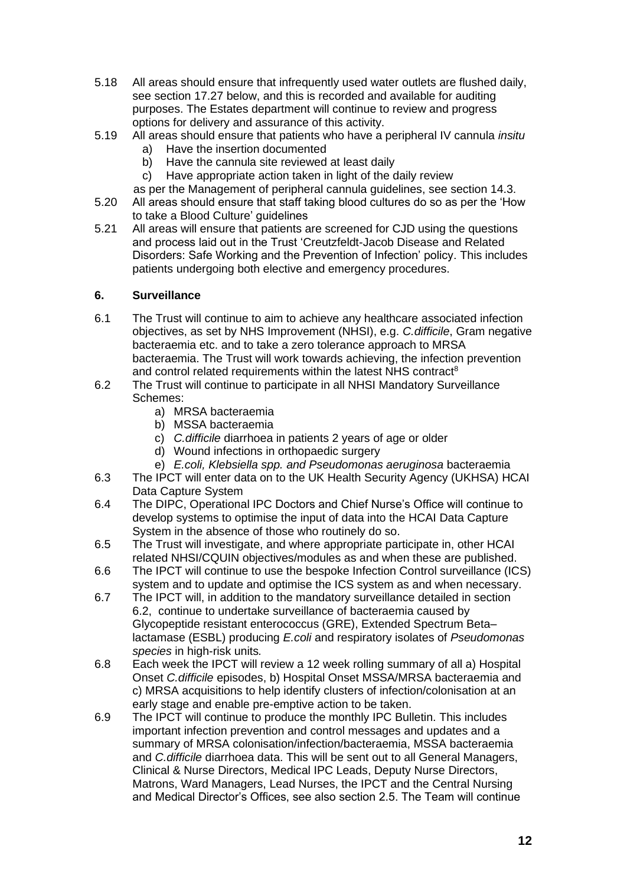- 5.18 All areas should ensure that infrequently used water outlets are flushed daily, see section 17.27 below, and this is recorded and available for auditing purposes. The Estates department will continue to review and progress options for delivery and assurance of this activity.
- 5.19 All areas should ensure that patients who have a peripheral IV cannula *insitu* 
	- a) Have the insertion documented
	- b) Have the cannula site reviewed at least daily
	- c) Have appropriate action taken in light of the daily review
	- as per the Management of peripheral cannula guidelines, see section 14.3.
- 5.20 All areas should ensure that staff taking blood cultures do so as per the 'How to take a Blood Culture' guidelines
- 5.21 All areas will ensure that patients are screened for CJD using the questions and process laid out in the Trust 'Creutzfeldt-Jacob Disease and Related Disorders: Safe Working and the Prevention of Infection' policy. This includes patients undergoing both elective and emergency procedures.

## **6. Surveillance**

- 6.1 The Trust will continue to aim to achieve any healthcare associated infection objectives, as set by NHS Improvement (NHSI), e.g. *C.difficile*, Gram negative bacteraemia etc. and to take a zero tolerance approach to MRSA bacteraemia. The Trust will work towards achieving, the infection prevention and control related requirements within the latest NHS contract<sup>8</sup>
- 6.2 The Trust will continue to participate in all NHSI Mandatory Surveillance Schemes:
	- a) MRSA bacteraemia
	- b) MSSA bacteraemia
	- c) *C.difficile* diarrhoea in patients 2 years of age or older
	- d) Wound infections in orthopaedic surgery
	- e) *E.coli, Klebsiella spp. and Pseudomonas aeruginosa* bacteraemia
- 6.3 The IPCT will enter data on to the UK Health Security Agency (UKHSA) HCAI Data Capture System
- 6.4 The DIPC, Operational IPC Doctors and Chief Nurse's Office will continue to develop systems to optimise the input of data into the HCAI Data Capture System in the absence of those who routinely do so.
- 6.5 The Trust will investigate, and where appropriate participate in, other HCAI related NHSI/CQUIN objectives/modules as and when these are published.
- 6.6 The IPCT will continue to use the bespoke Infection Control surveillance (ICS) system and to update and optimise the ICS system as and when necessary.
- 6.7 The IPCT will, in addition to the mandatory surveillance detailed in section 6.2, continue to undertake surveillance of bacteraemia caused by Glycopeptide resistant enterococcus (GRE), Extended Spectrum Beta– lactamase (ESBL) producing *E.coli* and respiratory isolates of *Pseudomonas species* in high-risk units*.*
- 6.8 Each week the IPCT will review a 12 week rolling summary of all a) Hospital Onset *C.difficile* episodes, b) Hospital Onset MSSA/MRSA bacteraemia and c) MRSA acquisitions to help identify clusters of infection/colonisation at an early stage and enable pre-emptive action to be taken.
- 6.9 The IPCT will continue to produce the monthly IPC Bulletin. This includes important infection prevention and control messages and updates and a summary of MRSA colonisation/infection/bacteraemia, MSSA bacteraemia and *C.difficile* diarrhoea data. This will be sent out to all General Managers, Clinical & Nurse Directors, Medical IPC Leads, Deputy Nurse Directors, Matrons, Ward Managers, Lead Nurses, the IPCT and the Central Nursing and Medical Director's Offices, see also section 2.5. The Team will continue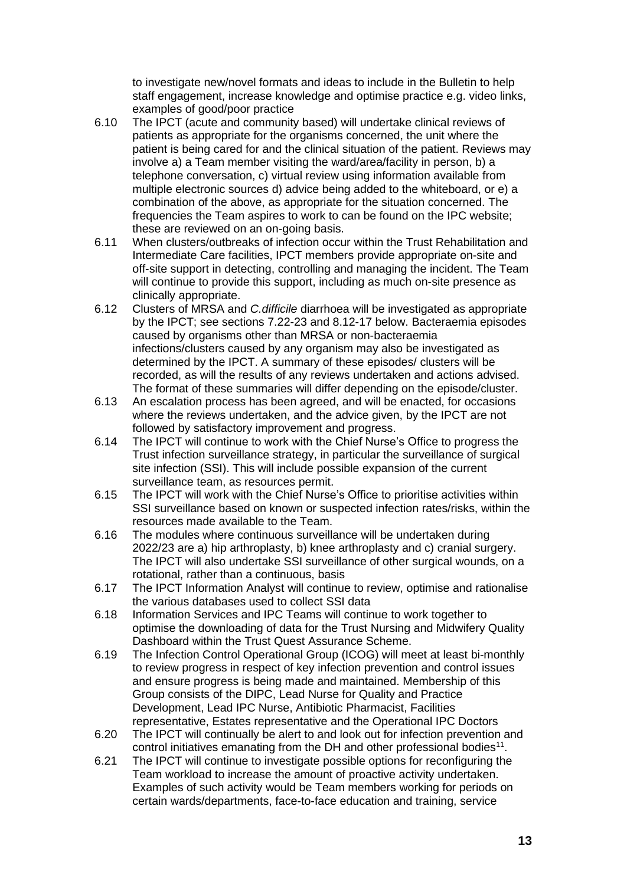to investigate new/novel formats and ideas to include in the Bulletin to help staff engagement, increase knowledge and optimise practice e.g. video links, examples of good/poor practice

- 6.10 The IPCT (acute and community based) will undertake clinical reviews of patients as appropriate for the organisms concerned, the unit where the patient is being cared for and the clinical situation of the patient. Reviews may involve a) a Team member visiting the ward/area/facility in person, b) a telephone conversation, c) virtual review using information available from multiple electronic sources d) advice being added to the whiteboard, or e) a combination of the above, as appropriate for the situation concerned. The frequencies the Team aspires to work to can be found on the IPC website; these are reviewed on an on-going basis.
- 6.11 When clusters/outbreaks of infection occur within the Trust Rehabilitation and Intermediate Care facilities, IPCT members provide appropriate on-site and off-site support in detecting, controlling and managing the incident. The Team will continue to provide this support, including as much on-site presence as clinically appropriate.
- 6.12 Clusters of MRSA and *C.difficile* diarrhoea will be investigated as appropriate by the IPCT; see sections 7.22-23 and 8.12-17 below. Bacteraemia episodes caused by organisms other than MRSA or non-bacteraemia infections/clusters caused by any organism may also be investigated as determined by the IPCT. A summary of these episodes/ clusters will be recorded, as will the results of any reviews undertaken and actions advised. The format of these summaries will differ depending on the episode/cluster.
- 6.13 An escalation process has been agreed, and will be enacted, for occasions where the reviews undertaken, and the advice given, by the IPCT are not followed by satisfactory improvement and progress.
- 6.14 The IPCT will continue to work with the Chief Nurse's Office to progress the Trust infection surveillance strategy, in particular the surveillance of surgical site infection (SSI). This will include possible expansion of the current surveillance team, as resources permit.
- 6.15 The IPCT will work with the Chief Nurse's Office to prioritise activities within SSI surveillance based on known or suspected infection rates/risks, within the resources made available to the Team.
- 6.16 The modules where continuous surveillance will be undertaken during 2022/23 are a) hip arthroplasty, b) knee arthroplasty and c) cranial surgery. The IPCT will also undertake SSI surveillance of other surgical wounds, on a rotational, rather than a continuous, basis
- 6.17 The IPCT Information Analyst will continue to review, optimise and rationalise the various databases used to collect SSI data
- 6.18 Information Services and IPC Teams will continue to work together to optimise the downloading of data for the Trust Nursing and Midwifery Quality Dashboard within the Trust Quest Assurance Scheme.
- 6.19 The Infection Control Operational Group (ICOG) will meet at least bi-monthly to review progress in respect of key infection prevention and control issues and ensure progress is being made and maintained. Membership of this Group consists of the DIPC, Lead Nurse for Quality and Practice Development, Lead IPC Nurse, Antibiotic Pharmacist, Facilities representative, Estates representative and the Operational IPC Doctors
- 6.20 The IPCT will continually be alert to and look out for infection prevention and control initiatives emanating from the DH and other professional bodies $11$ .
- 6.21 The IPCT will continue to investigate possible options for reconfiguring the Team workload to increase the amount of proactive activity undertaken. Examples of such activity would be Team members working for periods on certain wards/departments, face-to-face education and training, service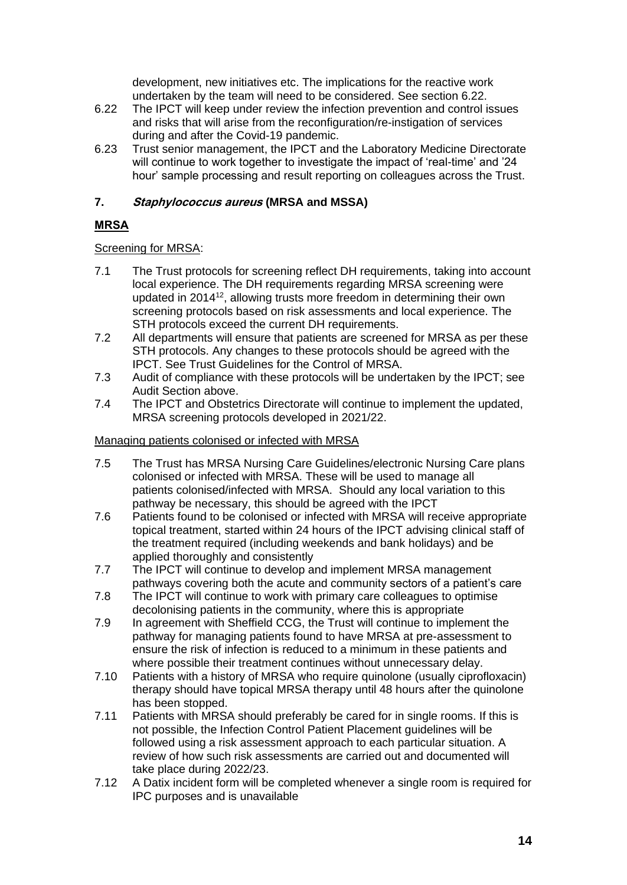development, new initiatives etc. The implications for the reactive work undertaken by the team will need to be considered. See section 6.22.

- 6.22 The IPCT will keep under review the infection prevention and control issues and risks that will arise from the reconfiguration/re-instigation of services during and after the Covid-19 pandemic.
- 6.23 Trust senior management, the IPCT and the Laboratory Medicine Directorate will continue to work together to investigate the impact of 'real-time' and '24 hour' sample processing and result reporting on colleagues across the Trust.

# **7. Staphylococcus aureus (MRSA and MSSA)**

# **MRSA**

# Screening for MRSA:

- 7.1 The Trust protocols for screening reflect DH requirements, taking into account local experience. The DH requirements regarding MRSA screening were updated in 2014<sup>12</sup>, allowing trusts more freedom in determining their own screening protocols based on risk assessments and local experience. The STH protocols exceed the current DH requirements.
- 7.2 All departments will ensure that patients are screened for MRSA as per these STH protocols. Any changes to these protocols should be agreed with the IPCT. See Trust Guidelines for the Control of MRSA.
- 7.3 Audit of compliance with these protocols will be undertaken by the IPCT; see Audit Section above.
- 7.4 The IPCT and Obstetrics Directorate will continue to implement the updated, MRSA screening protocols developed in 2021/22.

# Managing patients colonised or infected with MRSA

- 7.5 The Trust has MRSA Nursing Care Guidelines/electronic Nursing Care plans colonised or infected with MRSA. These will be used to manage all patients colonised/infected with MRSA. Should any local variation to this pathway be necessary, this should be agreed with the IPCT
- 7.6 Patients found to be colonised or infected with MRSA will receive appropriate topical treatment, started within 24 hours of the IPCT advising clinical staff of the treatment required (including weekends and bank holidays) and be applied thoroughly and consistently
- 7.7 The IPCT will continue to develop and implement MRSA management pathways covering both the acute and community sectors of a patient's care
- 7.8 The IPCT will continue to work with primary care colleagues to optimise decolonising patients in the community, where this is appropriate
- 7.9 In agreement with Sheffield CCG, the Trust will continue to implement the pathway for managing patients found to have MRSA at pre-assessment to ensure the risk of infection is reduced to a minimum in these patients and where possible their treatment continues without unnecessary delay.
- 7.10 Patients with a history of MRSA who require quinolone (usually ciprofloxacin) therapy should have topical MRSA therapy until 48 hours after the quinolone has been stopped.
- 7.11 Patients with MRSA should preferably be cared for in single rooms. If this is not possible, the Infection Control Patient Placement guidelines will be followed using a risk assessment approach to each particular situation. A review of how such risk assessments are carried out and documented will take place during 2022/23.
- 7.12 A Datix incident form will be completed whenever a single room is required for IPC purposes and is unavailable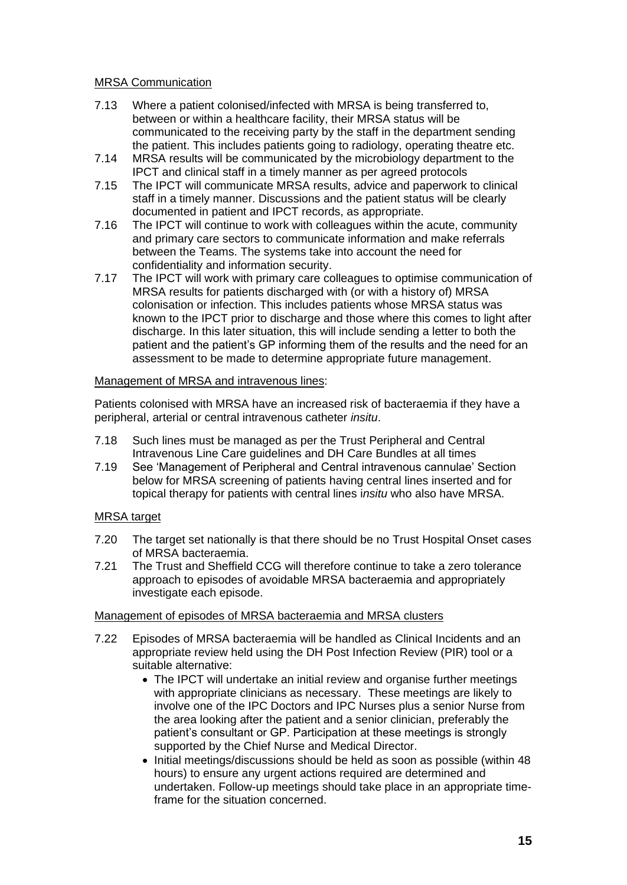### MRSA Communication

- 7.13 Where a patient colonised/infected with MRSA is being transferred to, between or within a healthcare facility, their MRSA status will be communicated to the receiving party by the staff in the department sending the patient. This includes patients going to radiology, operating theatre etc.
- 7.14 MRSA results will be communicated by the microbiology department to the IPCT and clinical staff in a timely manner as per agreed protocols
- 7.15 The IPCT will communicate MRSA results, advice and paperwork to clinical staff in a timely manner. Discussions and the patient status will be clearly documented in patient and IPCT records, as appropriate.
- 7.16 The IPCT will continue to work with colleagues within the acute, community and primary care sectors to communicate information and make referrals between the Teams. The systems take into account the need for confidentiality and information security.
- 7.17 The IPCT will work with primary care colleagues to optimise communication of MRSA results for patients discharged with (or with a history of) MRSA colonisation or infection. This includes patients whose MRSA status was known to the IPCT prior to discharge and those where this comes to light after discharge. In this later situation, this will include sending a letter to both the patient and the patient's GP informing them of the results and the need for an assessment to be made to determine appropriate future management.

#### Management of MRSA and intravenous lines:

Patients colonised with MRSA have an increased risk of bacteraemia if they have a peripheral, arterial or central intravenous catheter *insitu*.

- 7.18 Such lines must be managed as per the Trust Peripheral and Central Intravenous Line Care guidelines and DH Care Bundles at all times
- 7.19 See 'Management of Peripheral and Central intravenous cannulae' Section below for MRSA screening of patients having central lines inserted and for topical therapy for patients with central lines i*nsitu* who also have MRSA.

#### MRSA target

- 7.20 The target set nationally is that there should be no Trust Hospital Onset cases of MRSA bacteraemia.
- 7.21 The Trust and Sheffield CCG will therefore continue to take a zero tolerance approach to episodes of avoidable MRSA bacteraemia and appropriately investigate each episode.

#### Management of episodes of MRSA bacteraemia and MRSA clusters

- 7.22 Episodes of MRSA bacteraemia will be handled as Clinical Incidents and an appropriate review held using the DH Post Infection Review (PIR) tool or a suitable alternative:
	- The IPCT will undertake an initial review and organise further meetings with appropriate clinicians as necessary. These meetings are likely to involve one of the IPC Doctors and IPC Nurses plus a senior Nurse from the area looking after the patient and a senior clinician, preferably the patient's consultant or GP. Participation at these meetings is strongly supported by the Chief Nurse and Medical Director.
	- Initial meetings/discussions should be held as soon as possible (within 48 hours) to ensure any urgent actions required are determined and undertaken. Follow-up meetings should take place in an appropriate timeframe for the situation concerned.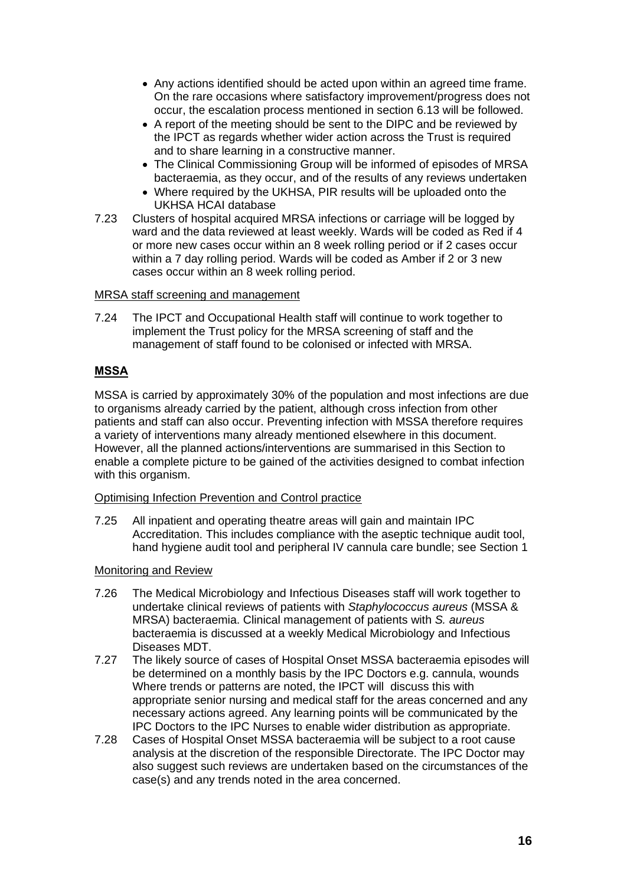- Any actions identified should be acted upon within an agreed time frame. On the rare occasions where satisfactory improvement/progress does not occur, the escalation process mentioned in section 6.13 will be followed.
- A report of the meeting should be sent to the DIPC and be reviewed by the IPCT as regards whether wider action across the Trust is required and to share learning in a constructive manner.
- The Clinical Commissioning Group will be informed of episodes of MRSA bacteraemia, as they occur, and of the results of any reviews undertaken
- Where required by the UKHSA, PIR results will be uploaded onto the UKHSA HCAI database
- 7.23 Clusters of hospital acquired MRSA infections or carriage will be logged by ward and the data reviewed at least weekly. Wards will be coded as Red if 4 or more new cases occur within an 8 week rolling period or if 2 cases occur within a 7 day rolling period. Wards will be coded as Amber if 2 or 3 new cases occur within an 8 week rolling period.

#### MRSA staff screening and management

7.24 The IPCT and Occupational Health staff will continue to work together to implement the Trust policy for the MRSA screening of staff and the management of staff found to be colonised or infected with MRSA.

## **MSSA**

MSSA is carried by approximately 30% of the population and most infections are due to organisms already carried by the patient, although cross infection from other patients and staff can also occur. Preventing infection with MSSA therefore requires a variety of interventions many already mentioned elsewhere in this document. However, all the planned actions/interventions are summarised in this Section to enable a complete picture to be gained of the activities designed to combat infection with this organism.

#### Optimising Infection Prevention and Control practice

7.25 All inpatient and operating theatre areas will gain and maintain IPC Accreditation. This includes compliance with the aseptic technique audit tool, hand hygiene audit tool and peripheral IV cannula care bundle; see Section 1

#### Monitoring and Review

- 7.26 The Medical Microbiology and Infectious Diseases staff will work together to undertake clinical reviews of patients with *Staphylococcus aureus* (MSSA & MRSA) bacteraemia. Clinical management of patients with *S. aureus* bacteraemia is discussed at a weekly Medical Microbiology and Infectious Diseases MDT.
- 7.27 The likely source of cases of Hospital Onset MSSA bacteraemia episodes will be determined on a monthly basis by the IPC Doctors e.g. cannula, wounds Where trends or patterns are noted, the IPCT will discuss this with appropriate senior nursing and medical staff for the areas concerned and any necessary actions agreed. Any learning points will be communicated by the IPC Doctors to the IPC Nurses to enable wider distribution as appropriate.
- 7.28 Cases of Hospital Onset MSSA bacteraemia will be subject to a root cause analysis at the discretion of the responsible Directorate. The IPC Doctor may also suggest such reviews are undertaken based on the circumstances of the case(s) and any trends noted in the area concerned.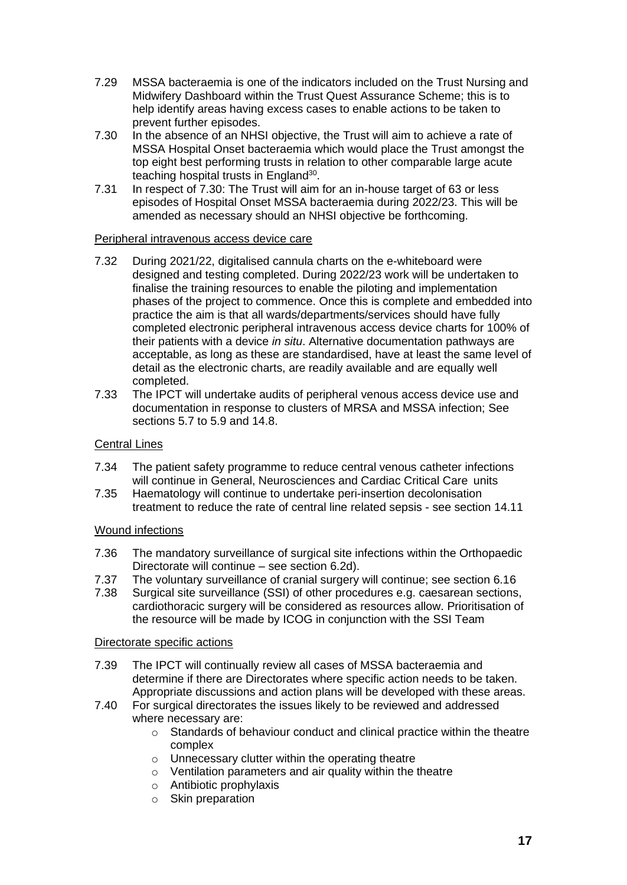- 7.29 MSSA bacteraemia is one of the indicators included on the Trust Nursing and Midwifery Dashboard within the Trust Quest Assurance Scheme; this is to help identify areas having excess cases to enable actions to be taken to prevent further episodes.
- 7.30 In the absence of an NHSI objective, the Trust will aim to achieve a rate of MSSA Hospital Onset bacteraemia which would place the Trust amongst the top eight best performing trusts in relation to other comparable large acute teaching hospital trusts in England<sup>30</sup>.
- 7.31 In respect of 7.30: The Trust will aim for an in-house target of 63 or less episodes of Hospital Onset MSSA bacteraemia during 2022/23. This will be amended as necessary should an NHSI objective be forthcoming.

#### Peripheral intravenous access device care

- 7.32 During 2021/22, digitalised cannula charts on the e-whiteboard were designed and testing completed. During 2022/23 work will be undertaken to finalise the training resources to enable the piloting and implementation phases of the project to commence. Once this is complete and embedded into practice the aim is that all wards/departments/services should have fully completed electronic peripheral intravenous access device charts for 100% of their patients with a device *in situ*. Alternative documentation pathways are acceptable, as long as these are standardised, have at least the same level of detail as the electronic charts, are readily available and are equally well completed.
- 7.33 The IPCT will undertake audits of peripheral venous access device use and documentation in response to clusters of MRSA and MSSA infection; See sections 5.7 to 5.9 and 14.8.

#### Central Lines

- 7.34 The patient safety programme to reduce central venous catheter infections will continue in General, Neurosciences and Cardiac Critical Care units
- 7.35 Haematology will continue to undertake peri-insertion decolonisation treatment to reduce the rate of central line related sepsis - see section 14.11

#### Wound infections

- 7.36 The mandatory surveillance of surgical site infections within the Orthopaedic Directorate will continue – see section 6.2d).
- 7.37 The voluntary surveillance of cranial surgery will continue; see section 6.16<br>7.38 Surgical site surveillance (SSI) of other procedures e.g. caesarean sections
- Surgical site surveillance (SSI) of other procedures e.g. caesarean sections, cardiothoracic surgery will be considered as resources allow. Prioritisation of the resource will be made by ICOG in conjunction with the SSI Team

#### Directorate specific actions

- 7.39 The IPCT will continually review all cases of MSSA bacteraemia and determine if there are Directorates where specific action needs to be taken. Appropriate discussions and action plans will be developed with these areas.
- 7.40 For surgical directorates the issues likely to be reviewed and addressed where necessary are:
	- o Standards of behaviour conduct and clinical practice within the theatre complex
	- o Unnecessary clutter within the operating theatre
	- o Ventilation parameters and air quality within the theatre
	- o Antibiotic prophylaxis
	- o Skin preparation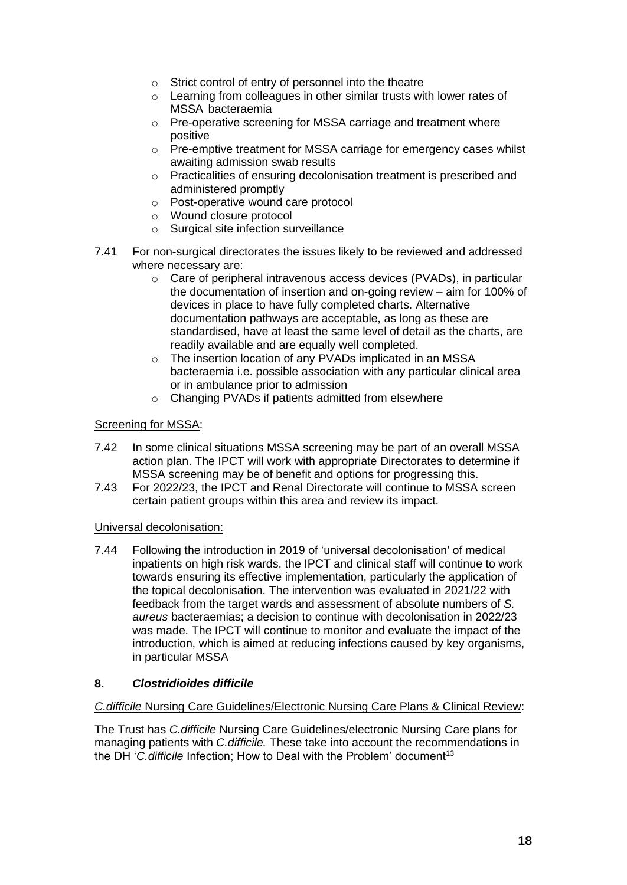- o Strict control of entry of personnel into the theatre
- o Learning from colleagues in other similar trusts with lower rates of MSSA bacteraemia
- o Pre-operative screening for MSSA carriage and treatment where positive
- o Pre-emptive treatment for MSSA carriage for emergency cases whilst awaiting admission swab results
- o Practicalities of ensuring decolonisation treatment is prescribed and administered promptly
- o Post-operative wound care protocol
- o Wound closure protocol
- o Surgical site infection surveillance
- 7.41 For non-surgical directorates the issues likely to be reviewed and addressed where necessary are:
	- o Care of peripheral intravenous access devices (PVADs), in particular the documentation of insertion and on-going review – aim for 100% of devices in place to have fully completed charts. Alternative documentation pathways are acceptable, as long as these are standardised, have at least the same level of detail as the charts, are readily available and are equally well completed.
	- o The insertion location of any PVADs implicated in an MSSA bacteraemia i.e. possible association with any particular clinical area or in ambulance prior to admission
	- o Changing PVADs if patients admitted from elsewhere

#### Screening for MSSA:

- 7.42 In some clinical situations MSSA screening may be part of an overall MSSA action plan. The IPCT will work with appropriate Directorates to determine if MSSA screening may be of benefit and options for progressing this.
- 7.43 For 2022/23, the IPCT and Renal Directorate will continue to MSSA screen certain patient groups within this area and review its impact.

#### Universal decolonisation:

7.44 Following the introduction in 2019 of 'universal decolonisation' of medical inpatients on high risk wards, the IPCT and clinical staff will continue to work towards ensuring its effective implementation, particularly the application of the topical decolonisation. The intervention was evaluated in 2021/22 with feedback from the target wards and assessment of absolute numbers of *S. aureus* bacteraemias; a decision to continue with decolonisation in 2022/23 was made. The IPCT will continue to monitor and evaluate the impact of the introduction, which is aimed at reducing infections caused by key organisms, in particular MSSA

#### **8.** *Clostridioides difficile*

#### *C.difficile* Nursing Care Guidelines/Electronic Nursing Care Plans & Clinical Review:

The Trust has *C.difficile* Nursing Care Guidelines/electronic Nursing Care plans for managing patients with *C.difficile.* These take into account the recommendations in the DH '*C. difficile* Infection; How to Deal with the Problem' document<sup>13</sup>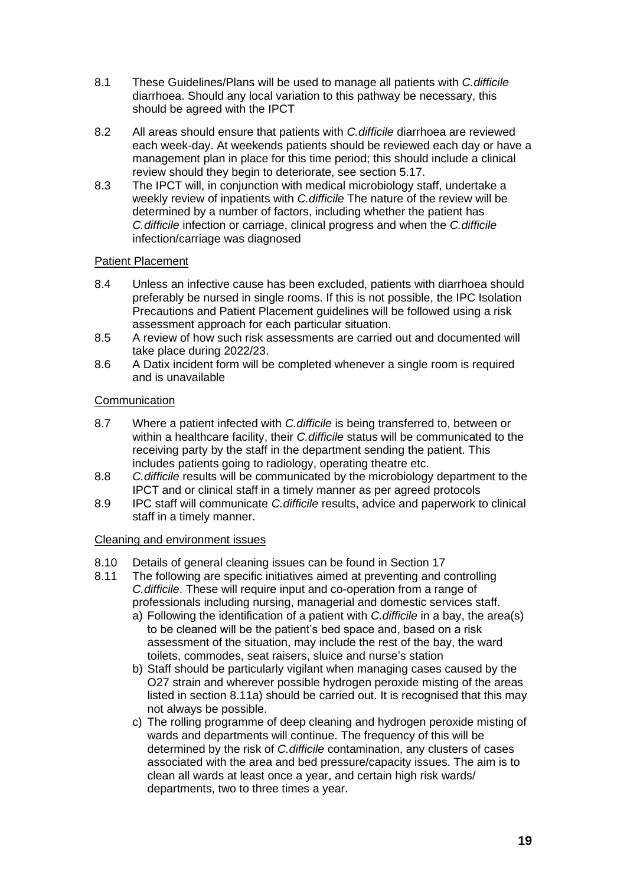- 8.1 These Guidelines/Plans will be used to manage all patients with *C.difficile* diarrhoea. Should any local variation to this pathway be necessary, this should be agreed with the IPCT
- 8.2 All areas should ensure that patients with *C.difficile* diarrhoea are reviewed each week-day. At weekends patients should be reviewed each day or have a management plan in place for this time period; this should include a clinical review should they begin to deteriorate, see section 5.17.
- 8.3 The IPCT will, in conjunction with medical microbiology staff, undertake a weekly review of inpatients with *C.difficile* The nature of the review will be determined by a number of factors, including whether the patient has *C.difficile* infection or carriage, clinical progress and when the *C.difficile* infection/carriage was diagnosed

## Patient Placement

- 8.4 Unless an infective cause has been excluded, patients with diarrhoea should preferably be nursed in single rooms. If this is not possible, the IPC Isolation Precautions and Patient Placement guidelines will be followed using a risk assessment approach for each particular situation.
- 8.5 A review of how such risk assessments are carried out and documented will take place during 2022/23.
- 8.6 A Datix incident form will be completed whenever a single room is required and is unavailable

## **Communication**

- 8.7 Where a patient infected with *C.difficile* is being transferred to, between or within a healthcare facility, their *C.difficile* status will be communicated to the receiving party by the staff in the department sending the patient. This includes patients going to radiology, operating theatre etc.
- 8.8 *C.difficile* results will be communicated by the microbiology department to the IPCT and or clinical staff in a timely manner as per agreed protocols
- 8.9 IPC staff will communicate *C.difficile* results, advice and paperwork to clinical staff in a timely manner.

#### Cleaning and environment issues

- 8.10 Details of general cleaning issues can be found in Section 17
- 8.11 The following are specific initiatives aimed at preventing and controlling *C.difficile*. These will require input and co-operation from a range of professionals including nursing, managerial and domestic services staff.
	- a) Following the identification of a patient with *C.difficile* in a bay, the area(s) to be cleaned will be the patient's bed space and, based on a risk assessment of the situation, may include the rest of the bay, the ward toilets, commodes, seat raisers, sluice and nurse's station
	- b) Staff should be particularly vigilant when managing cases caused by the O27 strain and wherever possible hydrogen peroxide misting of the areas listed in section 8.11a) should be carried out. It is recognised that this may not always be possible.
	- c) The rolling programme of deep cleaning and hydrogen peroxide misting of wards and departments will continue. The frequency of this will be determined by the risk of *C.difficile* contamination, any clusters of cases associated with the area and bed pressure/capacity issues. The aim is to clean all wards at least once a year, and certain high risk wards/ departments, two to three times a year.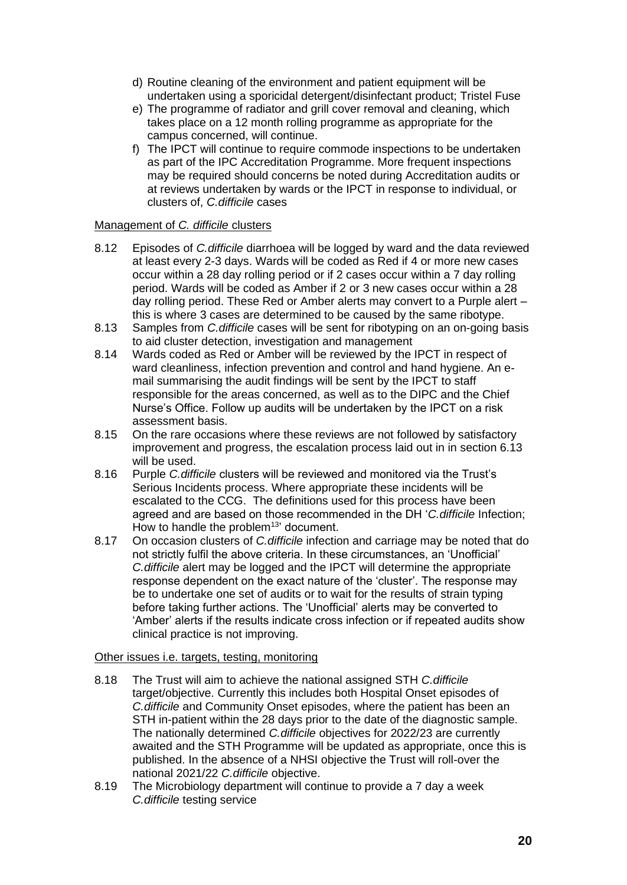- d) Routine cleaning of the environment and patient equipment will be undertaken using a sporicidal detergent/disinfectant product; Tristel Fuse
- e) The programme of radiator and grill cover removal and cleaning, which takes place on a 12 month rolling programme as appropriate for the campus concerned, will continue.
- f) The IPCT will continue to require commode inspections to be undertaken as part of the IPC Accreditation Programme. More frequent inspections may be required should concerns be noted during Accreditation audits or at reviews undertaken by wards or the IPCT in response to individual, or clusters of, *C.difficile* cases

## Management of *C. difficile* clusters

- 8.12 Episodes of *C.difficile* diarrhoea will be logged by ward and the data reviewed at least every 2-3 days. Wards will be coded as Red if 4 or more new cases occur within a 28 day rolling period or if 2 cases occur within a 7 day rolling period. Wards will be coded as Amber if 2 or 3 new cases occur within a 28 day rolling period. These Red or Amber alerts may convert to a Purple alert – this is where 3 cases are determined to be caused by the same ribotype.
- 8.13 Samples from *C.difficile* cases will be sent for ribotyping on an on-going basis to aid cluster detection, investigation and management
- 8.14 Wards coded as Red or Amber will be reviewed by the IPCT in respect of ward cleanliness, infection prevention and control and hand hygiene. An email summarising the audit findings will be sent by the IPCT to staff responsible for the areas concerned, as well as to the DIPC and the Chief Nurse's Office. Follow up audits will be undertaken by the IPCT on a risk assessment basis.
- 8.15 On the rare occasions where these reviews are not followed by satisfactory improvement and progress, the escalation process laid out in in section 6.13 will be used.
- 8.16 Purple *C.difficile* clusters will be reviewed and monitored via the Trust's Serious Incidents process. Where appropriate these incidents will be escalated to the CCG. The definitions used for this process have been agreed and are based on those recommended in the DH '*C.difficile* Infection; How to handle the problem<sup>13</sup> document.
- 8.17 On occasion clusters of *C.difficile* infection and carriage may be noted that do not strictly fulfil the above criteria. In these circumstances, an 'Unofficial' *C.difficile* alert may be logged and the IPCT will determine the appropriate response dependent on the exact nature of the 'cluster'. The response may be to undertake one set of audits or to wait for the results of strain typing before taking further actions. The 'Unofficial' alerts may be converted to 'Amber' alerts if the results indicate cross infection or if repeated audits show clinical practice is not improving.

#### Other issues i.e. targets, testing, monitoring

- 8.18 The Trust will aim to achieve the national assigned STH *C.difficile* target/objective. Currently this includes both Hospital Onset episodes of *C.difficile* and Community Onset episodes, where the patient has been an STH in-patient within the 28 days prior to the date of the diagnostic sample. The nationally determined *C.difficile* objectives for 2022/23 are currently awaited and the STH Programme will be updated as appropriate, once this is published. In the absence of a NHSI objective the Trust will roll-over the national 2021/22 *C.difficile* objective.
- 8.19 The Microbiology department will continue to provide a 7 day a week *C.difficile* testing service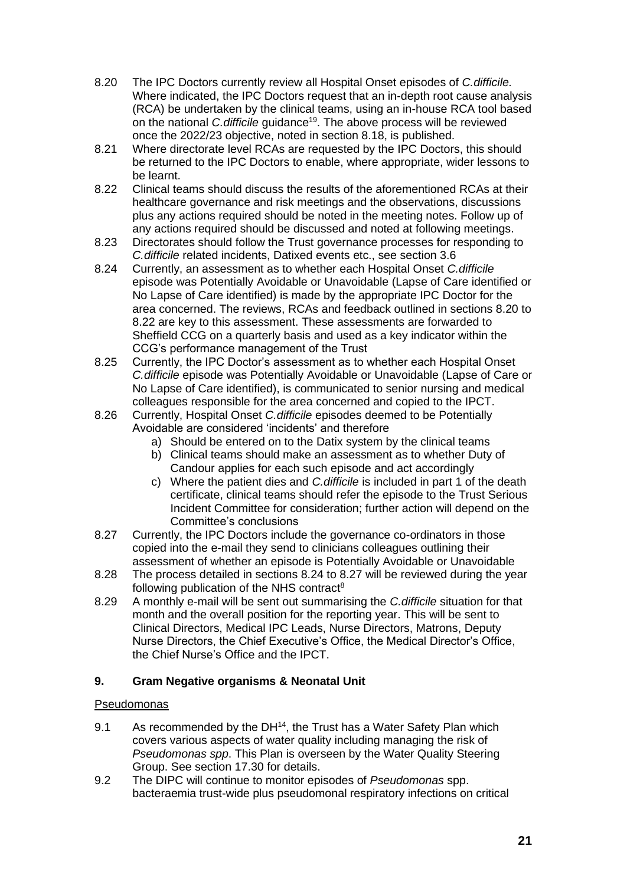- 8.20 The IPC Doctors currently review all Hospital Onset episodes of *C.difficile.* Where indicated, the IPC Doctors request that an in-depth root cause analysis (RCA) be undertaken by the clinical teams, using an in-house RCA tool based on the national *C.difficile* guidance<sup>19</sup>. The above process will be reviewed once the 2022/23 objective, noted in section 8.18, is published.
- 8.21 Where directorate level RCAs are requested by the IPC Doctors, this should be returned to the IPC Doctors to enable, where appropriate, wider lessons to be learnt.
- 8.22 Clinical teams should discuss the results of the aforementioned RCAs at their healthcare governance and risk meetings and the observations, discussions plus any actions required should be noted in the meeting notes. Follow up of any actions required should be discussed and noted at following meetings.
- 8.23 Directorates should follow the Trust governance processes for responding to *C.difficile* related incidents, Datixed events etc., see section 3.6
- 8.24 Currently, an assessment as to whether each Hospital Onset *C.difficile* episode was Potentially Avoidable or Unavoidable (Lapse of Care identified or No Lapse of Care identified) is made by the appropriate IPC Doctor for the area concerned. The reviews, RCAs and feedback outlined in sections 8.20 to 8.22 are key to this assessment. These assessments are forwarded to Sheffield CCG on a quarterly basis and used as a key indicator within the CCG's performance management of the Trust
- 8.25 Currently, the IPC Doctor's assessment as to whether each Hospital Onset *C.difficile* episode was Potentially Avoidable or Unavoidable (Lapse of Care or No Lapse of Care identified), is communicated to senior nursing and medical colleagues responsible for the area concerned and copied to the IPCT.
- 8.26 Currently, Hospital Onset *C.difficile* episodes deemed to be Potentially Avoidable are considered 'incidents' and therefore
	- a) Should be entered on to the Datix system by the clinical teams
	- b) Clinical teams should make an assessment as to whether Duty of Candour applies for each such episode and act accordingly
	- c) Where the patient dies and *C.difficile* is included in part 1 of the death certificate, clinical teams should refer the episode to the Trust Serious Incident Committee for consideration; further action will depend on the Committee's conclusions
- 8.27 Currently, the IPC Doctors include the governance co-ordinators in those copied into the e-mail they send to clinicians colleagues outlining their assessment of whether an episode is Potentially Avoidable or Unavoidable
- 8.28 The process detailed in sections 8.24 to 8.27 will be reviewed during the year following publication of the NHS contract<sup>8</sup>
- 8.29 A monthly e-mail will be sent out summarising the *C.difficile* situation for that month and the overall position for the reporting year. This will be sent to Clinical Directors, Medical IPC Leads, Nurse Directors, Matrons, Deputy Nurse Directors, the Chief Executive's Office, the Medical Director's Office, the Chief Nurse's Office and the IPCT.

# **9. Gram Negative organisms & Neonatal Unit**

#### Pseudomonas

- 9.1 As recommended by the DH<sup>14</sup>, the Trust has a Water Safety Plan which covers various aspects of water quality including managing the risk of *Pseudomonas spp*. This Plan is overseen by the Water Quality Steering Group. See section 17.30 for details.
- 9.2 The DIPC will continue to monitor episodes of *Pseudomonas* spp. bacteraemia trust-wide plus pseudomonal respiratory infections on critical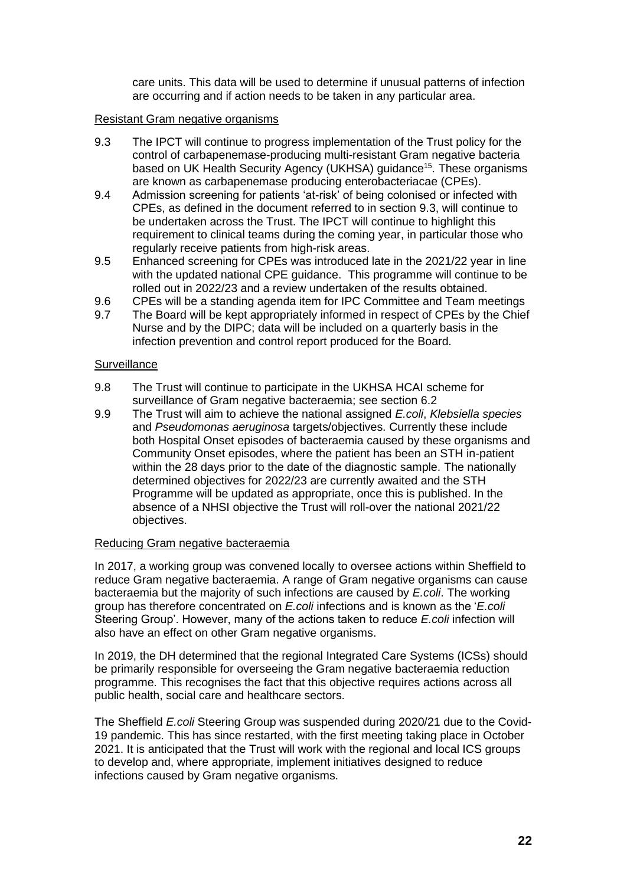care units. This data will be used to determine if unusual patterns of infection are occurring and if action needs to be taken in any particular area.

#### Resistant Gram negative organisms

- 9.3 The IPCT will continue to progress implementation of the Trust policy for the control of carbapenemase-producing multi-resistant Gram negative bacteria based on UK Health Security Agency (UKHSA) guidance<sup>15</sup>. These organisms are known as carbapenemase producing enterobacteriacae (CPEs).
- 9.4 Admission screening for patients 'at-risk' of being colonised or infected with CPEs, as defined in the document referred to in section 9.3, will continue to be undertaken across the Trust. The IPCT will continue to highlight this requirement to clinical teams during the coming year, in particular those who regularly receive patients from high-risk areas.
- 9.5 Enhanced screening for CPEs was introduced late in the 2021/22 year in line with the updated national CPE guidance. This programme will continue to be rolled out in 2022/23 and a review undertaken of the results obtained.
- 9.6 CPEs will be a standing agenda item for IPC Committee and Team meetings
- 9.7 The Board will be kept appropriately informed in respect of CPEs by the Chief Nurse and by the DIPC; data will be included on a quarterly basis in the infection prevention and control report produced for the Board.

#### **Surveillance**

- 9.8 The Trust will continue to participate in the UKHSA HCAI scheme for surveillance of Gram negative bacteraemia; see section 6.2
- 9.9 The Trust will aim to achieve the national assigned *E.coli*, *Klebsiella species* and *Pseudomonas aeruginosa* targets/objectives. Currently these include both Hospital Onset episodes of bacteraemia caused by these organisms and Community Onset episodes, where the patient has been an STH in-patient within the 28 days prior to the date of the diagnostic sample. The nationally determined objectives for 2022/23 are currently awaited and the STH Programme will be updated as appropriate, once this is published. In the absence of a NHSI objective the Trust will roll-over the national 2021/22 objectives.

#### Reducing Gram negative bacteraemia

In 2017, a working group was convened locally to oversee actions within Sheffield to reduce Gram negative bacteraemia. A range of Gram negative organisms can cause bacteraemia but the majority of such infections are caused by *E.coli*. The working group has therefore concentrated on *E.coli* infections and is known as the '*E.coli* Steering Group'. However, many of the actions taken to reduce *E.coli* infection will also have an effect on other Gram negative organisms.

In 2019, the DH determined that the regional Integrated Care Systems (ICSs) should be primarily responsible for overseeing the Gram negative bacteraemia reduction programme. This recognises the fact that this objective requires actions across all public health, social care and healthcare sectors.

The Sheffield *E.coli* Steering Group was suspended during 2020/21 due to the Covid-19 pandemic. This has since restarted, with the first meeting taking place in October 2021. It is anticipated that the Trust will work with the regional and local ICS groups to develop and, where appropriate, implement initiatives designed to reduce infections caused by Gram negative organisms.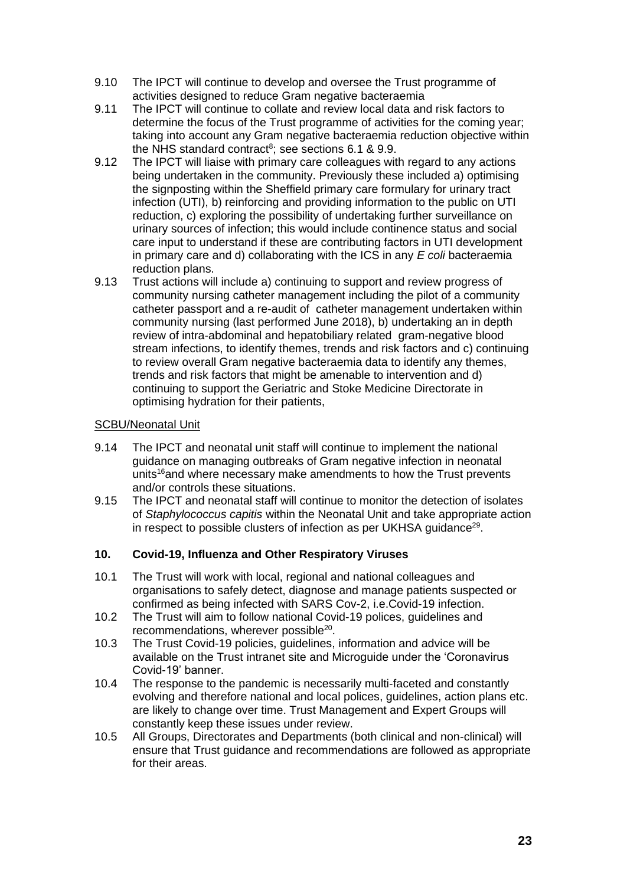- 9.10 The IPCT will continue to develop and oversee the Trust programme of activities designed to reduce Gram negative bacteraemia
- 9.11 The IPCT will continue to collate and review local data and risk factors to determine the focus of the Trust programme of activities for the coming year; taking into account any Gram negative bacteraemia reduction objective within the NHS standard contract<sup>8</sup>; see sections 6.1 & 9.9.
- 9.12 The IPCT will liaise with primary care colleagues with regard to any actions being undertaken in the community. Previously these included a) optimising the signposting within the Sheffield primary care formulary for urinary tract infection (UTI), b) reinforcing and providing information to the public on UTI reduction, c) exploring the possibility of undertaking further surveillance on urinary sources of infection; this would include continence status and social care input to understand if these are contributing factors in UTI development in primary care and d) collaborating with the ICS in any *E coli* bacteraemia reduction plans.
- 9.13 Trust actions will include a) continuing to support and review progress of community nursing catheter management including the pilot of a community catheter passport and a re-audit of catheter management undertaken within community nursing (last performed June 2018), b) undertaking an in depth review of intra-abdominal and hepatobiliary related gram-negative blood stream infections, to identify themes, trends and risk factors and c) continuing to review overall Gram negative bacteraemia data to identify any themes, trends and risk factors that might be amenable to intervention and d) continuing to support the Geriatric and Stoke Medicine Directorate in optimising hydration for their patients,

#### SCBU/Neonatal Unit

- 9.14 The IPCT and neonatal unit staff will continue to implement the national guidance on managing outbreaks of Gram negative infection in neonatal units<sup>16</sup> and where necessary make amendments to how the Trust prevents and/or controls these situations.
- 9.15 The IPCT and neonatal staff will continue to monitor the detection of isolates of *Staphylococcus capitis* within the Neonatal Unit and take appropriate action in respect to possible clusters of infection as per UKHSA guidance<sup>29</sup>.

# **10. Covid-19, Influenza and Other Respiratory Viruses**

- 10.1 The Trust will work with local, regional and national colleagues and organisations to safely detect, diagnose and manage patients suspected or confirmed as being infected with SARS Cov-2, i.e.Covid-19 infection.
- 10.2 The Trust will aim to follow national Covid-19 polices, guidelines and recommendations, wherever possible<sup>20</sup>.
- 10.3 The Trust Covid-19 policies, guidelines, information and advice will be available on the Trust intranet site and Microguide under the 'Coronavirus Covid-19' banner.
- 10.4 The response to the pandemic is necessarily multi-faceted and constantly evolving and therefore national and local polices, guidelines, action plans etc. are likely to change over time. Trust Management and Expert Groups will constantly keep these issues under review.
- 10.5 All Groups, Directorates and Departments (both clinical and non-clinical) will ensure that Trust guidance and recommendations are followed as appropriate for their areas.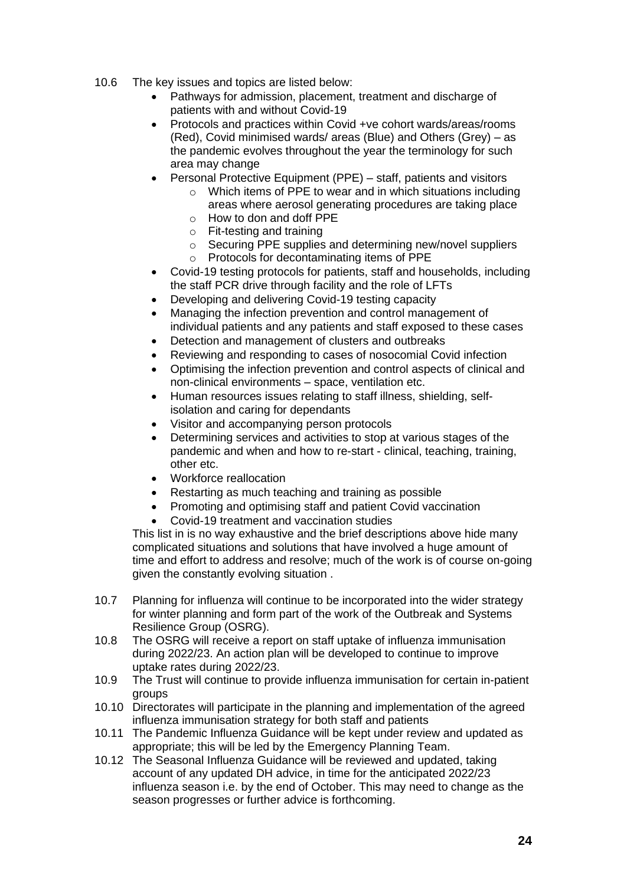- 10.6 The key issues and topics are listed below:
	- Pathways for admission, placement, treatment and discharge of patients with and without Covid-19
	- Protocols and practices within Covid +ve cohort wards/areas/rooms (Red), Covid minimised wards/ areas (Blue) and Others (Grey) – as the pandemic evolves throughout the year the terminology for such area may change
	- Personal Protective Equipment (PPE) staff, patients and visitors
		- $\circ$  Which items of PPE to wear and in which situations including areas where aerosol generating procedures are taking place o How to don and doff PPE
		- o Fit-testing and training
		- o Securing PPE supplies and determining new/novel suppliers o Protocols for decontaminating items of PPE
	- Covid-19 testing protocols for patients, staff and households, including the staff PCR drive through facility and the role of LFTs
	- Developing and delivering Covid-19 testing capacity
	- Managing the infection prevention and control management of individual patients and any patients and staff exposed to these cases
	- Detection and management of clusters and outbreaks
	- Reviewing and responding to cases of nosocomial Covid infection
	- Optimising the infection prevention and control aspects of clinical and non-clinical environments – space, ventilation etc.
	- Human resources issues relating to staff illness, shielding, selfisolation and caring for dependants
	- Visitor and accompanying person protocols
	- Determining services and activities to stop at various stages of the pandemic and when and how to re-start - clinical, teaching, training, other etc.
	- Workforce reallocation
	- Restarting as much teaching and training as possible
	- Promoting and optimising staff and patient Covid vaccination
	- Covid-19 treatment and vaccination studies

This list in is no way exhaustive and the brief descriptions above hide many complicated situations and solutions that have involved a huge amount of time and effort to address and resolve; much of the work is of course on-going given the constantly evolving situation .

- 10.7 Planning for influenza will continue to be incorporated into the wider strategy for winter planning and form part of the work of the Outbreak and Systems Resilience Group (OSRG).
- 10.8 The OSRG will receive a report on staff uptake of influenza immunisation during 2022/23. An action plan will be developed to continue to improve uptake rates during 2022/23.
- 10.9 The Trust will continue to provide influenza immunisation for certain in-patient groups
- 10.10 Directorates will participate in the planning and implementation of the agreed influenza immunisation strategy for both staff and patients
- 10.11 The Pandemic Influenza Guidance will be kept under review and updated as appropriate; this will be led by the Emergency Planning Team.
- 10.12 The Seasonal Influenza Guidance will be reviewed and updated, taking account of any updated DH advice, in time for the anticipated 2022/23 influenza season i.e. by the end of October. This may need to change as the season progresses or further advice is forthcoming.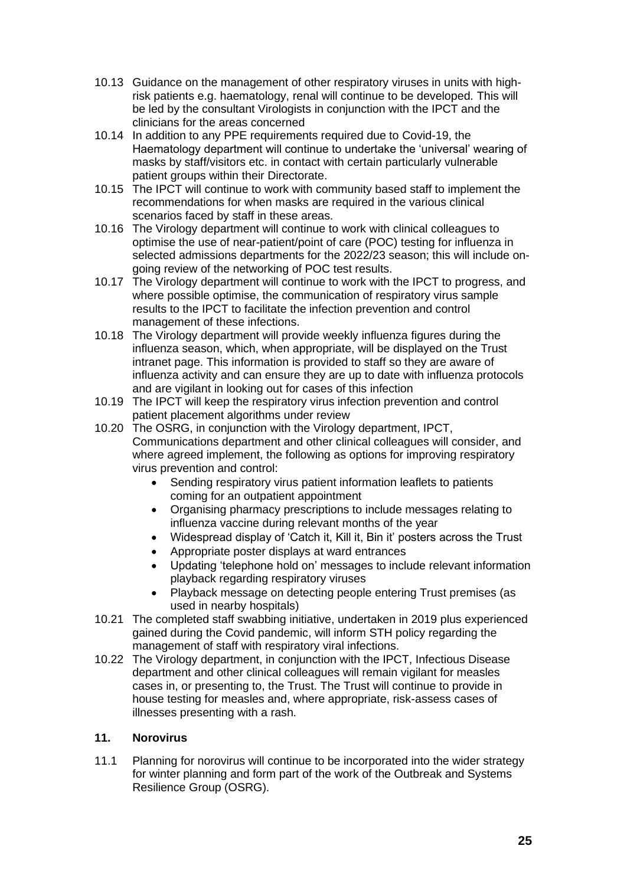- 10.13 Guidance on the management of other respiratory viruses in units with highrisk patients e.g. haematology, renal will continue to be developed. This will be led by the consultant Virologists in conjunction with the IPCT and the clinicians for the areas concerned
- 10.14 In addition to any PPE requirements required due to Covid-19, the Haematology department will continue to undertake the 'universal' wearing of masks by staff/visitors etc. in contact with certain particularly vulnerable patient groups within their Directorate.
- 10.15 The IPCT will continue to work with community based staff to implement the recommendations for when masks are required in the various clinical scenarios faced by staff in these areas.
- 10.16 The Virology department will continue to work with clinical colleagues to optimise the use of near-patient/point of care (POC) testing for influenza in selected admissions departments for the 2022/23 season; this will include ongoing review of the networking of POC test results.
- 10.17 The Virology department will continue to work with the IPCT to progress, and where possible optimise, the communication of respiratory virus sample results to the IPCT to facilitate the infection prevention and control management of these infections.
- 10.18 The Virology department will provide weekly influenza figures during the influenza season, which, when appropriate, will be displayed on the Trust intranet page. This information is provided to staff so they are aware of influenza activity and can ensure they are up to date with influenza protocols and are vigilant in looking out for cases of this infection
- 10.19 The IPCT will keep the respiratory virus infection prevention and control patient placement algorithms under review
- 10.20 The OSRG, in conjunction with the Virology department, IPCT, Communications department and other clinical colleagues will consider, and where agreed implement, the following as options for improving respiratory virus prevention and control:
	- Sending respiratory virus patient information leaflets to patients coming for an outpatient appointment
	- Organising pharmacy prescriptions to include messages relating to influenza vaccine during relevant months of the year
	- Widespread display of 'Catch it, Kill it, Bin it' posters across the Trust
	- Appropriate poster displays at ward entrances
	- Updating 'telephone hold on' messages to include relevant information playback regarding respiratory viruses
	- Playback message on detecting people entering Trust premises (as used in nearby hospitals)
- 10.21 The completed staff swabbing initiative, undertaken in 2019 plus experienced gained during the Covid pandemic, will inform STH policy regarding the management of staff with respiratory viral infections.
- 10.22 The Virology department, in conjunction with the IPCT, Infectious Disease department and other clinical colleagues will remain vigilant for measles cases in, or presenting to, the Trust. The Trust will continue to provide in house testing for measles and, where appropriate, risk-assess cases of illnesses presenting with a rash.

# **11. Norovirus**

11.1 Planning for norovirus will continue to be incorporated into the wider strategy for winter planning and form part of the work of the Outbreak and Systems Resilience Group (OSRG).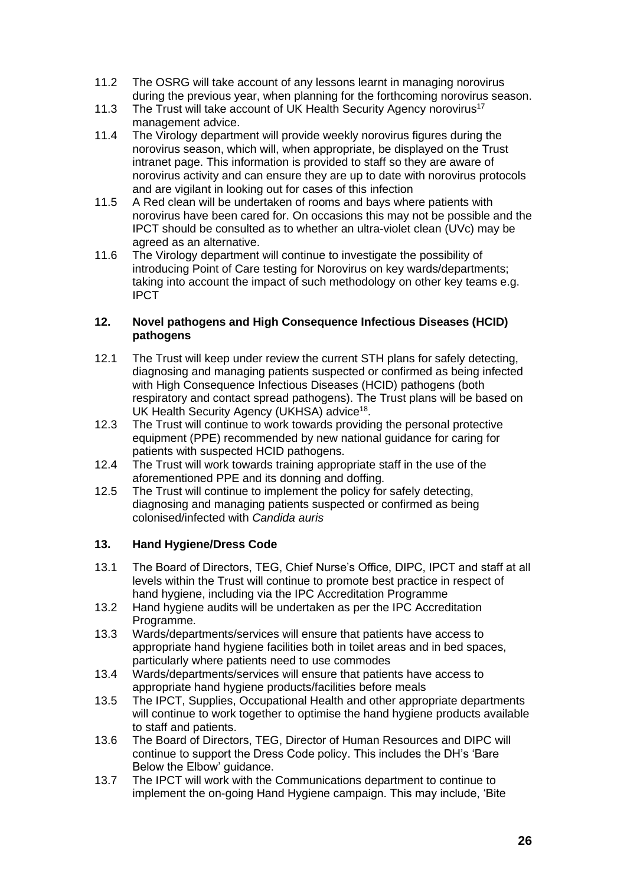- 11.2 The OSRG will take account of any lessons learnt in managing norovirus during the previous year, when planning for the forthcoming norovirus season.
- 11.3 The Trust will take account of UK Health Security Agency norovirus<sup>17</sup> management advice.
- 11.4 The Virology department will provide weekly norovirus figures during the norovirus season, which will, when appropriate, be displayed on the Trust intranet page. This information is provided to staff so they are aware of norovirus activity and can ensure they are up to date with norovirus protocols and are vigilant in looking out for cases of this infection
- 11.5 A Red clean will be undertaken of rooms and bays where patients with norovirus have been cared for. On occasions this may not be possible and the IPCT should be consulted as to whether an ultra-violet clean (UVc) may be agreed as an alternative.
- 11.6 The Virology department will continue to investigate the possibility of introducing Point of Care testing for Norovirus on key wards/departments; taking into account the impact of such methodology on other key teams e.g. IPCT

### **12. Novel pathogens and High Consequence Infectious Diseases (HCID) pathogens**

- 12.1 The Trust will keep under review the current STH plans for safely detecting, diagnosing and managing patients suspected or confirmed as being infected with High Consequence Infectious Diseases (HCID) pathogens (both respiratory and contact spread pathogens). The Trust plans will be based on UK Health Security Agency (UKHSA) advice<sup>18</sup>.
- 12.3 The Trust will continue to work towards providing the personal protective equipment (PPE) recommended by new national guidance for caring for patients with suspected HCID pathogens.
- 12.4 The Trust will work towards training appropriate staff in the use of the aforementioned PPE and its donning and doffing.
- 12.5 The Trust will continue to implement the policy for safely detecting, diagnosing and managing patients suspected or confirmed as being colonised/infected with *Candida auris*

# **13. Hand Hygiene/Dress Code**

- 13.1 The Board of Directors, TEG, Chief Nurse's Office, DIPC, IPCT and staff at all levels within the Trust will continue to promote best practice in respect of hand hygiene, including via the IPC Accreditation Programme
- 13.2 Hand hygiene audits will be undertaken as per the IPC Accreditation Programme.
- 13.3 Wards/departments/services will ensure that patients have access to appropriate hand hygiene facilities both in toilet areas and in bed spaces, particularly where patients need to use commodes
- 13.4 Wards/departments/services will ensure that patients have access to appropriate hand hygiene products/facilities before meals
- 13.5 The IPCT, Supplies, Occupational Health and other appropriate departments will continue to work together to optimise the hand hygiene products available to staff and patients.
- 13.6 The Board of Directors, TEG, Director of Human Resources and DIPC will continue to support the Dress Code policy. This includes the DH's 'Bare Below the Elbow' guidance.
- 13.7 The IPCT will work with the Communications department to continue to implement the on-going Hand Hygiene campaign. This may include, 'Bite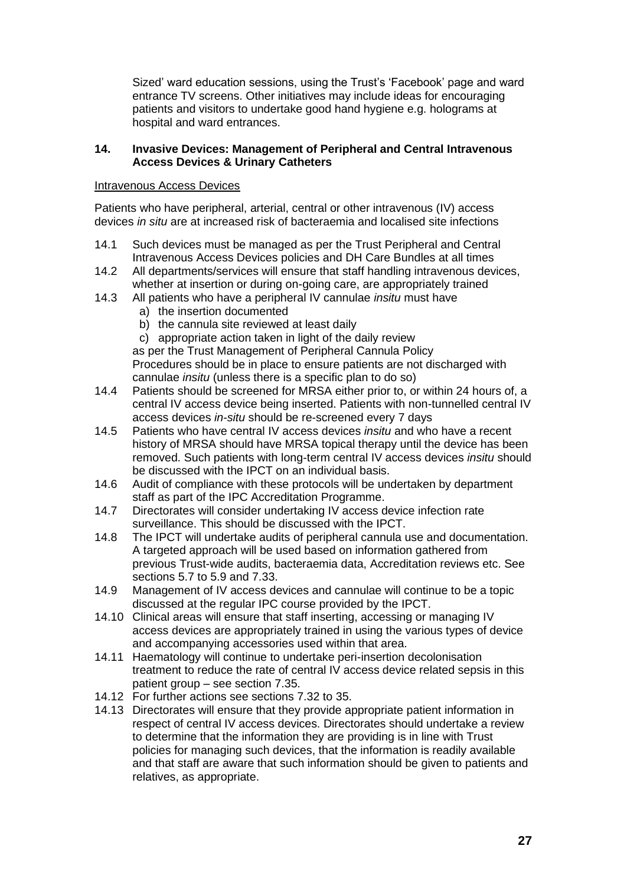Sized' ward education sessions, using the Trust's 'Facebook' page and ward entrance TV screens. Other initiatives may include ideas for encouraging patients and visitors to undertake good hand hygiene e.g. holograms at hospital and ward entrances.

#### **14. Invasive Devices: Management of Peripheral and Central Intravenous Access Devices & Urinary Catheters**

#### Intravenous Access Devices

Patients who have peripheral, arterial, central or other intravenous (IV) access devices *in situ* are at increased risk of bacteraemia and localised site infections

- 14.1 Such devices must be managed as per the Trust Peripheral and Central Intravenous Access Devices policies and DH Care Bundles at all times
- 14.2 All departments/services will ensure that staff handling intravenous devices, whether at insertion or during on-going care, are appropriately trained
- 14.3 All patients who have a peripheral IV cannulae *insitu* must have
	- a) the insertion documented
	- b) the cannula site reviewed at least daily
	- c) appropriate action taken in light of the daily review

as per the Trust Management of Peripheral Cannula Policy Procedures should be in place to ensure patients are not discharged with cannulae *insitu* (unless there is a specific plan to do so)

- 14.4 Patients should be screened for MRSA either prior to, or within 24 hours of, a central IV access device being inserted. Patients with non-tunnelled central IV access devices *in-situ* should be re-screened every 7 days
- 14.5 Patients who have central IV access devices *insitu* and who have a recent history of MRSA should have MRSA topical therapy until the device has been removed. Such patients with long-term central IV access devices *insitu* should be discussed with the IPCT on an individual basis.
- 14.6 Audit of compliance with these protocols will be undertaken by department staff as part of the IPC Accreditation Programme.
- 14.7 Directorates will consider undertaking IV access device infection rate surveillance. This should be discussed with the IPCT.
- 14.8 The IPCT will undertake audits of peripheral cannula use and documentation. A targeted approach will be used based on information gathered from previous Trust-wide audits, bacteraemia data, Accreditation reviews etc. See sections 5.7 to 5.9 and 7.33.
- 14.9 Management of IV access devices and cannulae will continue to be a topic discussed at the regular IPC course provided by the IPCT.
- 14.10 Clinical areas will ensure that staff inserting, accessing or managing IV access devices are appropriately trained in using the various types of device and accompanying accessories used within that area.
- 14.11 Haematology will continue to undertake peri-insertion decolonisation treatment to reduce the rate of central IV access device related sepsis in this patient group – see section 7.35.
- 14.12 For further actions see sections 7.32 to 35.
- 14.13 Directorates will ensure that they provide appropriate patient information in respect of central IV access devices. Directorates should undertake a review to determine that the information they are providing is in line with Trust policies for managing such devices, that the information is readily available and that staff are aware that such information should be given to patients and relatives, as appropriate.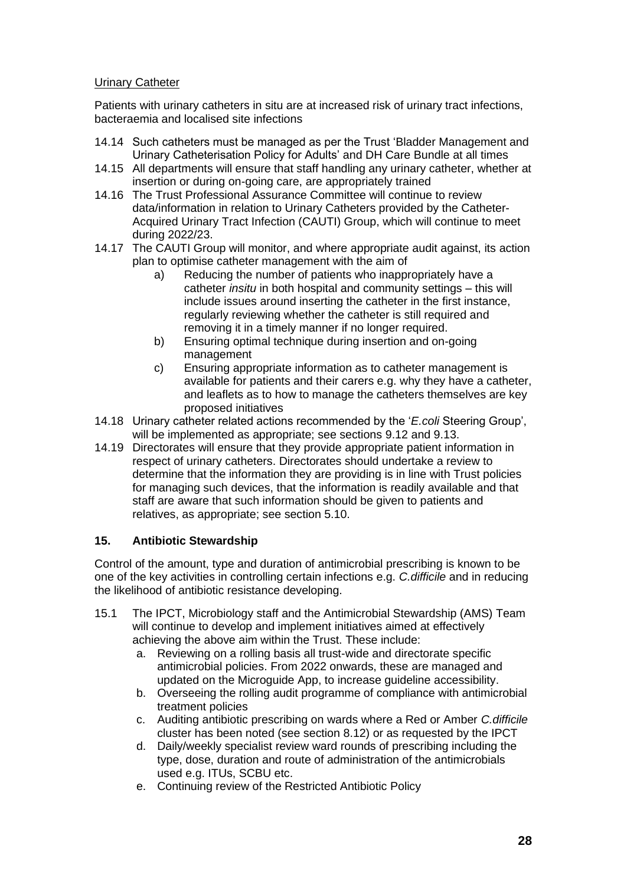## Urinary Catheter

Patients with urinary catheters in situ are at increased risk of urinary tract infections, bacteraemia and localised site infections

- 14.14 Such catheters must be managed as per the Trust 'Bladder Management and Urinary Catheterisation Policy for Adults' and DH Care Bundle at all times
- 14.15 All departments will ensure that staff handling any urinary catheter, whether at insertion or during on-going care, are appropriately trained
- 14.16 The Trust Professional Assurance Committee will continue to review data/information in relation to Urinary Catheters provided by the Catheter-Acquired Urinary Tract Infection (CAUTI) Group, which will continue to meet during 2022/23.
- 14.17 The CAUTI Group will monitor, and where appropriate audit against, its action plan to optimise catheter management with the aim of
	- a) Reducing the number of patients who inappropriately have a catheter *insitu* in both hospital and community settings – this will include issues around inserting the catheter in the first instance, regularly reviewing whether the catheter is still required and removing it in a timely manner if no longer required.
	- b) Ensuring optimal technique during insertion and on-going management
	- c) Ensuring appropriate information as to catheter management is available for patients and their carers e.g. why they have a catheter, and leaflets as to how to manage the catheters themselves are key proposed initiatives
- 14.18 Urinary catheter related actions recommended by the '*E.coli* Steering Group', will be implemented as appropriate; see sections 9.12 and 9.13.
- 14.19 Directorates will ensure that they provide appropriate patient information in respect of urinary catheters. Directorates should undertake a review to determine that the information they are providing is in line with Trust policies for managing such devices, that the information is readily available and that staff are aware that such information should be given to patients and relatives, as appropriate; see section 5.10.

# **15. Antibiotic Stewardship**

Control of the amount, type and duration of antimicrobial prescribing is known to be one of the key activities in controlling certain infections e.g. *C.difficile* and in reducing the likelihood of antibiotic resistance developing.

- 15.1 The IPCT, Microbiology staff and the Antimicrobial Stewardship (AMS) Team will continue to develop and implement initiatives aimed at effectively achieving the above aim within the Trust. These include:
	- a. Reviewing on a rolling basis all trust-wide and directorate specific antimicrobial policies. From 2022 onwards, these are managed and updated on the Microguide App, to increase guideline accessibility.
	- b. Overseeing the rolling audit programme of compliance with antimicrobial treatment policies
	- c. Auditing antibiotic prescribing on wards where a Red or Amber *C.difficile* cluster has been noted (see section 8.12) or as requested by the IPCT
	- d. Daily/weekly specialist review ward rounds of prescribing including the type, dose, duration and route of administration of the antimicrobials used e.g. ITUs, SCBU etc.
	- e. Continuing review of the Restricted Antibiotic Policy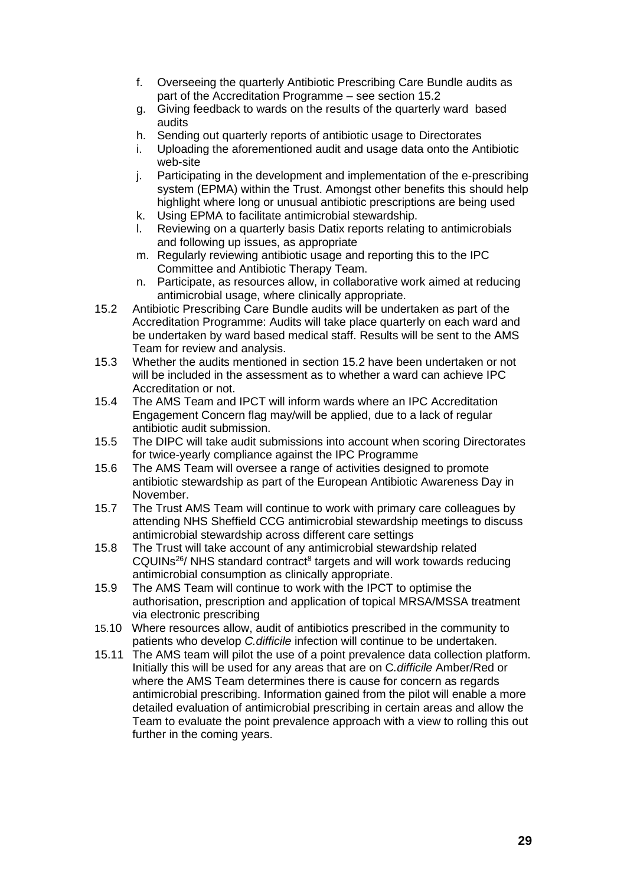- f. Overseeing the quarterly Antibiotic Prescribing Care Bundle audits as part of the Accreditation Programme – see section 15.2
- g. Giving feedback to wards on the results of the quarterly ward based audits
- h. Sending out quarterly reports of antibiotic usage to Directorates
- i. Uploading the aforementioned audit and usage data onto the Antibiotic web-site
- j. Participating in the development and implementation of the e-prescribing system (EPMA) within the Trust. Amongst other benefits this should help highlight where long or unusual antibiotic prescriptions are being used
- k. Using EPMA to facilitate antimicrobial stewardship.
- l. Reviewing on a quarterly basis Datix reports relating to antimicrobials and following up issues, as appropriate
- m. Regularly reviewing antibiotic usage and reporting this to the IPC Committee and Antibiotic Therapy Team.
- n. Participate, as resources allow, in collaborative work aimed at reducing antimicrobial usage, where clinically appropriate.
- 15.2 Antibiotic Prescribing Care Bundle audits will be undertaken as part of the Accreditation Programme: Audits will take place quarterly on each ward and be undertaken by ward based medical staff. Results will be sent to the AMS Team for review and analysis.
- 15.3 Whether the audits mentioned in section 15.2 have been undertaken or not will be included in the assessment as to whether a ward can achieve IPC Accreditation or not.
- 15.4 The AMS Team and IPCT will inform wards where an IPC Accreditation Engagement Concern flag may/will be applied, due to a lack of regular antibiotic audit submission.
- 15.5 The DIPC will take audit submissions into account when scoring Directorates for twice-yearly compliance against the IPC Programme
- 15.6 The AMS Team will oversee a range of activities designed to promote antibiotic stewardship as part of the European Antibiotic Awareness Day in November.
- 15.7 The Trust AMS Team will continue to work with primary care colleagues by attending NHS Sheffield CCG antimicrobial stewardship meetings to discuss antimicrobial stewardship across different care settings
- 15.8 The Trust will take account of any antimicrobial stewardship related CQUINs<sup>26</sup>/ NHS standard contract<sup>8</sup> targets and will work towards reducing antimicrobial consumption as clinically appropriate.
- 15.9 The AMS Team will continue to work with the IPCT to optimise the authorisation, prescription and application of topical MRSA/MSSA treatment via electronic prescribing
- 15.10 Where resources allow, audit of antibiotics prescribed in the community to patients who develop *C.difficile* infection will continue to be undertaken.
- 15.11 The AMS team will pilot the use of a point prevalence data collection platform. Initially this will be used for any areas that are on C*.difficile* Amber/Red or where the AMS Team determines there is cause for concern as regards antimicrobial prescribing. Information gained from the pilot will enable a more detailed evaluation of antimicrobial prescribing in certain areas and allow the Team to evaluate the point prevalence approach with a view to rolling this out further in the coming years.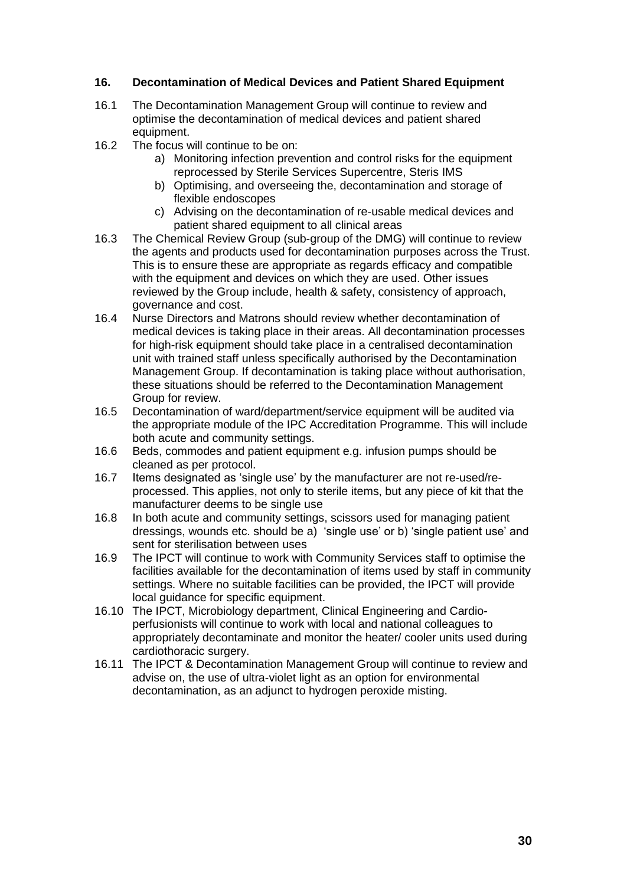#### **16. Decontamination of Medical Devices and Patient Shared Equipment**

- 16.1 The Decontamination Management Group will continue to review and optimise the decontamination of medical devices and patient shared equipment.
- 16.2 The focus will continue to be on:
	- a) Monitoring infection prevention and control risks for the equipment reprocessed by Sterile Services Supercentre, Steris IMS
	- b) Optimising, and overseeing the, decontamination and storage of flexible endoscopes
	- c) Advising on the decontamination of re-usable medical devices and patient shared equipment to all clinical areas
- 16.3 The Chemical Review Group (sub-group of the DMG) will continue to review the agents and products used for decontamination purposes across the Trust. This is to ensure these are appropriate as regards efficacy and compatible with the equipment and devices on which they are used. Other issues reviewed by the Group include, health & safety, consistency of approach, governance and cost.
- 16.4 Nurse Directors and Matrons should review whether decontamination of medical devices is taking place in their areas. All decontamination processes for high-risk equipment should take place in a centralised decontamination unit with trained staff unless specifically authorised by the Decontamination Management Group. If decontamination is taking place without authorisation, these situations should be referred to the Decontamination Management Group for review.
- 16.5 Decontamination of ward/department/service equipment will be audited via the appropriate module of the IPC Accreditation Programme. This will include both acute and community settings.
- 16.6 Beds, commodes and patient equipment e.g. infusion pumps should be cleaned as per protocol.
- 16.7 Items designated as 'single use' by the manufacturer are not re-used/reprocessed. This applies, not only to sterile items, but any piece of kit that the manufacturer deems to be single use
- 16.8 In both acute and community settings, scissors used for managing patient dressings, wounds etc. should be a) 'single use' or b) 'single patient use' and sent for sterilisation between uses
- 16.9 The IPCT will continue to work with Community Services staff to optimise the facilities available for the decontamination of items used by staff in community settings. Where no suitable facilities can be provided, the IPCT will provide local guidance for specific equipment.
- 16.10 The IPCT, Microbiology department, Clinical Engineering and Cardioperfusionists will continue to work with local and national colleagues to appropriately decontaminate and monitor the heater/ cooler units used during cardiothoracic surgery.
- 16.11 The IPCT & Decontamination Management Group will continue to review and advise on, the use of ultra-violet light as an option for environmental decontamination, as an adjunct to hydrogen peroxide misting.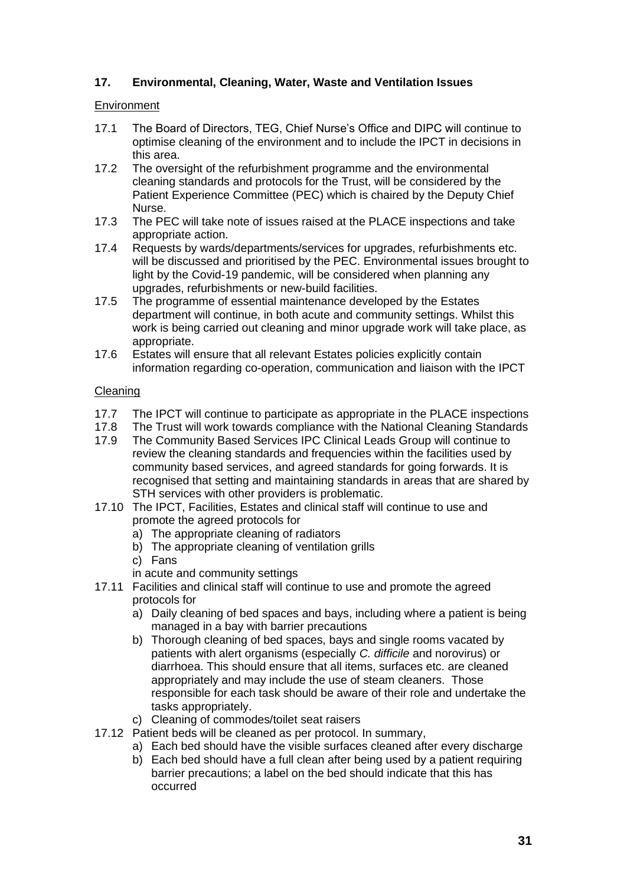## **17. Environmental, Cleaning, Water, Waste and Ventilation Issues**

#### **Environment**

- 17.1 The Board of Directors, TEG, Chief Nurse's Office and DIPC will continue to optimise cleaning of the environment and to include the IPCT in decisions in this area.
- 17.2 The oversight of the refurbishment programme and the environmental cleaning standards and protocols for the Trust, will be considered by the Patient Experience Committee (PEC) which is chaired by the Deputy Chief Nurse.
- 17.3 The PEC will take note of issues raised at the PLACE inspections and take appropriate action.
- 17.4 Requests by wards/departments/services for upgrades, refurbishments etc. will be discussed and prioritised by the PEC. Environmental issues brought to light by the Covid-19 pandemic, will be considered when planning any upgrades, refurbishments or new-build facilities.
- 17.5 The programme of essential maintenance developed by the Estates department will continue, in both acute and community settings. Whilst this work is being carried out cleaning and minor upgrade work will take place, as appropriate.
- 17.6 Estates will ensure that all relevant Estates policies explicitly contain information regarding co-operation, communication and liaison with the IPCT

#### Cleaning

- 17.7 The IPCT will continue to participate as appropriate in the PLACE inspections
- 17.8 The Trust will work towards compliance with the National Cleaning Standards
- 17.9 The Community Based Services IPC Clinical Leads Group will continue to review the cleaning standards and frequencies within the facilities used by community based services, and agreed standards for going forwards. It is recognised that setting and maintaining standards in areas that are shared by STH services with other providers is problematic.
- 17.10 The IPCT, Facilities, Estates and clinical staff will continue to use and promote the agreed protocols for
	- a) The appropriate cleaning of radiators
	- b) The appropriate cleaning of ventilation grills
	- c) Fans
	- in acute and community settings
- 17.11 Facilities and clinical staff will continue to use and promote the agreed protocols for
	- a) Daily cleaning of bed spaces and bays, including where a patient is being managed in a bay with barrier precautions
	- b) Thorough cleaning of bed spaces, bays and single rooms vacated by patients with alert organisms (especially *C. difficile* and norovirus) or diarrhoea. This should ensure that all items, surfaces etc. are cleaned appropriately and may include the use of steam cleaners. Those responsible for each task should be aware of their role and undertake the tasks appropriately.
	- c) Cleaning of commodes/toilet seat raisers
- 17.12 Patient beds will be cleaned as per protocol. In summary,
	- a) Each bed should have the visible surfaces cleaned after every discharge
	- b) Each bed should have a full clean after being used by a patient requiring barrier precautions; a label on the bed should indicate that this has occurred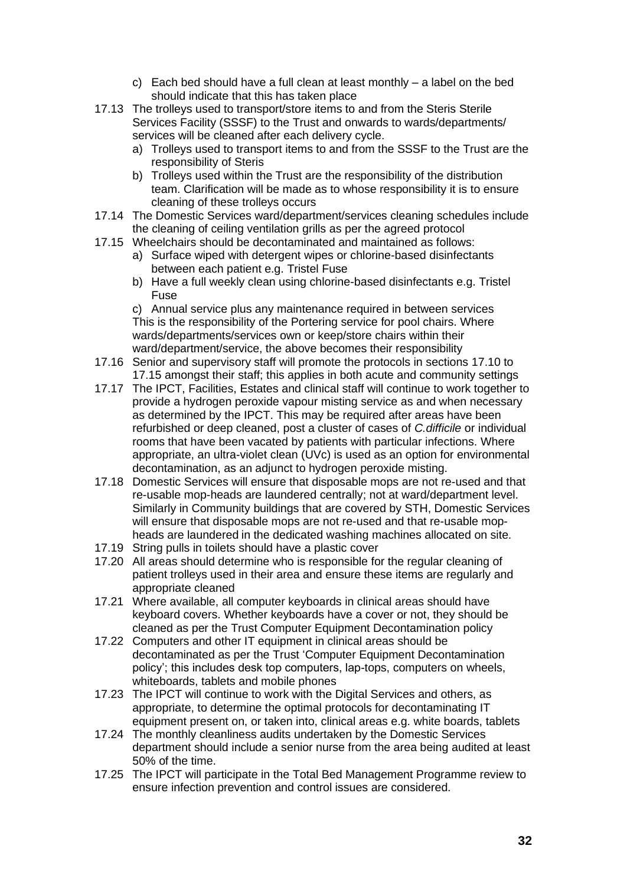- c) Each bed should have a full clean at least monthly a label on the bed should indicate that this has taken place
- 17.13 The trolleys used to transport/store items to and from the Steris Sterile Services Facility (SSSF) to the Trust and onwards to wards/departments/ services will be cleaned after each delivery cycle.
	- a) Trolleys used to transport items to and from the SSSF to the Trust are the responsibility of Steris
	- b) Trolleys used within the Trust are the responsibility of the distribution team. Clarification will be made as to whose responsibility it is to ensure cleaning of these trolleys occurs
- 17.14 The Domestic Services ward/department/services cleaning schedules include the cleaning of ceiling ventilation grills as per the agreed protocol
- 17.15 Wheelchairs should be decontaminated and maintained as follows:
	- a) Surface wiped with detergent wipes or chlorine-based disinfectants between each patient e.g. Tristel Fuse
	- b) Have a full weekly clean using chlorine-based disinfectants e.g. Tristel Fuse

c) Annual service plus any maintenance required in between services This is the responsibility of the Portering service for pool chairs. Where wards/departments/services own or keep/store chairs within their ward/department/service, the above becomes their responsibility

- 17.16 Senior and supervisory staff will promote the protocols in sections 17.10 to 17.15 amongst their staff; this applies in both acute and community settings
- 17.17 The IPCT, Facilities, Estates and clinical staff will continue to work together to provide a hydrogen peroxide vapour misting service as and when necessary as determined by the IPCT. This may be required after areas have been refurbished or deep cleaned, post a cluster of cases of *C.difficile* or individual rooms that have been vacated by patients with particular infections. Where appropriate, an ultra-violet clean (UVc) is used as an option for environmental decontamination, as an adjunct to hydrogen peroxide misting.
- 17.18 Domestic Services will ensure that disposable mops are not re-used and that re-usable mop-heads are laundered centrally; not at ward/department level. Similarly in Community buildings that are covered by STH, Domestic Services will ensure that disposable mops are not re-used and that re-usable mopheads are laundered in the dedicated washing machines allocated on site.
- 17.19 String pulls in toilets should have a plastic cover
- 17.20 All areas should determine who is responsible for the regular cleaning of patient trolleys used in their area and ensure these items are regularly and appropriate cleaned
- 17.21 Where available, all computer keyboards in clinical areas should have keyboard covers. Whether keyboards have a cover or not, they should be cleaned as per the Trust Computer Equipment Decontamination policy
- 17.22 Computers and other IT equipment in clinical areas should be decontaminated as per the Trust 'Computer Equipment Decontamination policy'; this includes desk top computers, lap-tops, computers on wheels, whiteboards, tablets and mobile phones
- 17.23 The IPCT will continue to work with the Digital Services and others, as appropriate, to determine the optimal protocols for decontaminating IT equipment present on, or taken into, clinical areas e.g. white boards, tablets
- 17.24 The monthly cleanliness audits undertaken by the Domestic Services department should include a senior nurse from the area being audited at least 50% of the time.
- 17.25 The IPCT will participate in the Total Bed Management Programme review to ensure infection prevention and control issues are considered.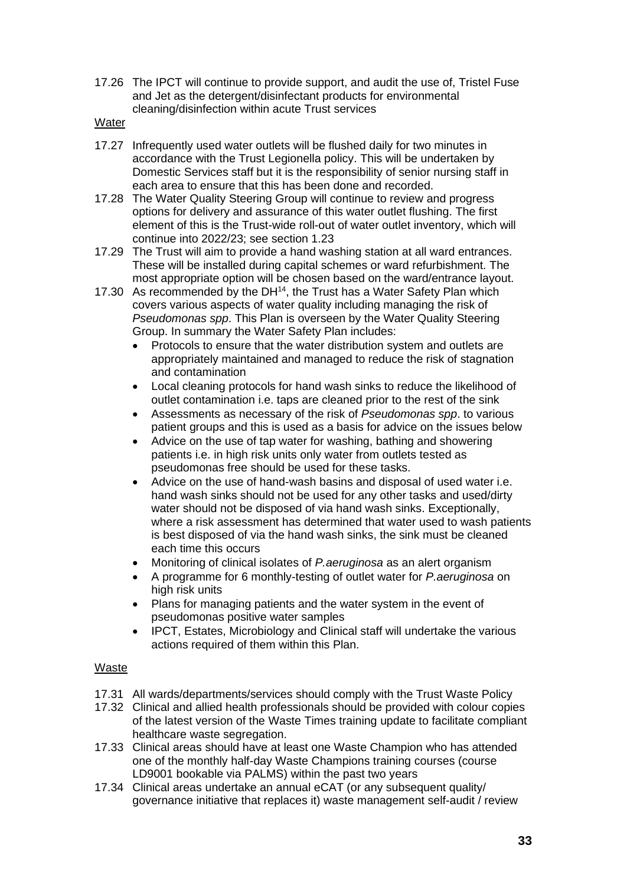- 17.26 The IPCT will continue to provide support, and audit the use of, Tristel Fuse and Jet as the detergent/disinfectant products for environmental cleaning/disinfection within acute Trust services
- **Water**
- 17.27 Infrequently used water outlets will be flushed daily for two minutes in accordance with the Trust Legionella policy. This will be undertaken by Domestic Services staff but it is the responsibility of senior nursing staff in each area to ensure that this has been done and recorded.
- 17.28 The Water Quality Steering Group will continue to review and progress options for delivery and assurance of this water outlet flushing. The first element of this is the Trust-wide roll-out of water outlet inventory, which will continue into 2022/23; see section 1.23
- 17.29 The Trust will aim to provide a hand washing station at all ward entrances. These will be installed during capital schemes or ward refurbishment. The most appropriate option will be chosen based on the ward/entrance layout.
- 17.30 As recommended by the DH<sup>14</sup>, the Trust has a Water Safety Plan which covers various aspects of water quality including managing the risk of *Pseudomonas spp*. This Plan is overseen by the Water Quality Steering Group. In summary the Water Safety Plan includes:
	- Protocols to ensure that the water distribution system and outlets are appropriately maintained and managed to reduce the risk of stagnation and contamination
	- Local cleaning protocols for hand wash sinks to reduce the likelihood of outlet contamination i.e. taps are cleaned prior to the rest of the sink
	- Assessments as necessary of the risk of *Pseudomonas spp*. to various patient groups and this is used as a basis for advice on the issues below
	- Advice on the use of tap water for washing, bathing and showering patients i.e. in high risk units only water from outlets tested as pseudomonas free should be used for these tasks.
	- Advice on the use of hand-wash basins and disposal of used water i.e. hand wash sinks should not be used for any other tasks and used/dirty water should not be disposed of via hand wash sinks. Exceptionally, where a risk assessment has determined that water used to wash patients is best disposed of via the hand wash sinks, the sink must be cleaned each time this occurs
	- Monitoring of clinical isolates of *P.aeruginosa* as an alert organism
	- A programme for 6 monthly-testing of outlet water for *P.aeruginosa* on high risk units
	- Plans for managing patients and the water system in the event of pseudomonas positive water samples
	- IPCT, Estates, Microbiology and Clinical staff will undertake the various actions required of them within this Plan.

# Waste

- 17.31 All wards/departments/services should comply with the Trust Waste Policy
- 17.32 Clinical and allied health professionals should be provided with colour copies of the latest version of the Waste Times training update to facilitate compliant healthcare waste segregation.
- 17.33 Clinical areas should have at least one Waste Champion who has attended one of the monthly half-day Waste Champions training courses (course LD9001 bookable via PALMS) within the past two years
- 17.34 Clinical areas undertake an annual eCAT (or any subsequent quality/ governance initiative that replaces it) waste management self-audit / review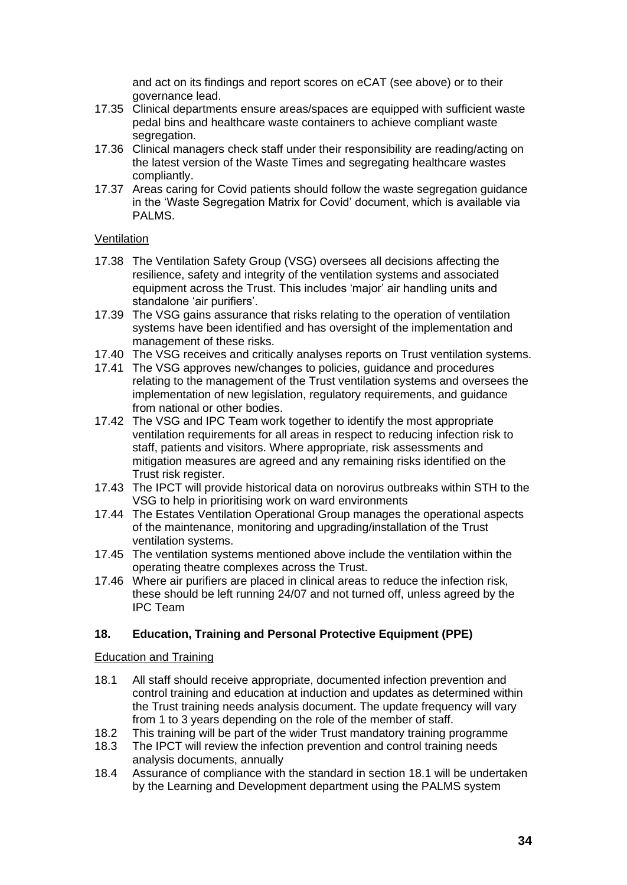and act on its findings and report scores on eCAT (see above) or to their governance lead.

- 17.35 Clinical departments ensure areas/spaces are equipped with sufficient waste pedal bins and healthcare waste containers to achieve compliant waste segregation.
- 17.36 Clinical managers check staff under their responsibility are reading/acting on the latest version of the Waste Times and segregating healthcare wastes compliantly.
- 17.37 Areas caring for Covid patients should follow the waste segregation guidance in the 'Waste Segregation Matrix for Covid' document, which is available via PALMS.

#### Ventilation

- 17.38 The Ventilation Safety Group (VSG) oversees all decisions affecting the resilience, safety and integrity of the ventilation systems and associated equipment across the Trust. This includes 'major' air handling units and standalone 'air purifiers'.
- 17.39 The VSG gains assurance that risks relating to the operation of ventilation systems have been identified and has oversight of the implementation and management of these risks.
- 17.40 The VSG receives and critically analyses reports on Trust ventilation systems.
- 17.41 The VSG approves new/changes to policies, guidance and procedures relating to the management of the Trust ventilation systems and oversees the implementation of new legislation, regulatory requirements, and guidance from national or other bodies.
- 17.42 The VSG and IPC Team work together to identify the most appropriate ventilation requirements for all areas in respect to reducing infection risk to staff, patients and visitors. Where appropriate, risk assessments and mitigation measures are agreed and any remaining risks identified on the Trust risk register.
- 17.43 The IPCT will provide historical data on norovirus outbreaks within STH to the VSG to help in prioritising work on ward environments
- 17.44 The Estates Ventilation Operational Group manages the operational aspects of the maintenance, monitoring and upgrading/installation of the Trust ventilation systems.
- 17.45 The ventilation systems mentioned above include the ventilation within the operating theatre complexes across the Trust.
- 17.46 Where air purifiers are placed in clinical areas to reduce the infection risk, these should be left running 24/07 and not turned off, unless agreed by the IPC Team

#### **18. Education, Training and Personal Protective Equipment (PPE)**

#### Education and Training

- 18.1 All staff should receive appropriate, documented infection prevention and control training and education at induction and updates as determined within the Trust training needs analysis document. The update frequency will vary from 1 to 3 years depending on the role of the member of staff.
- 18.2 This training will be part of the wider Trust mandatory training programme
- 18.3 The IPCT will review the infection prevention and control training needs analysis documents, annually
- 18.4 Assurance of compliance with the standard in section 18.1 will be undertaken by the Learning and Development department using the PALMS system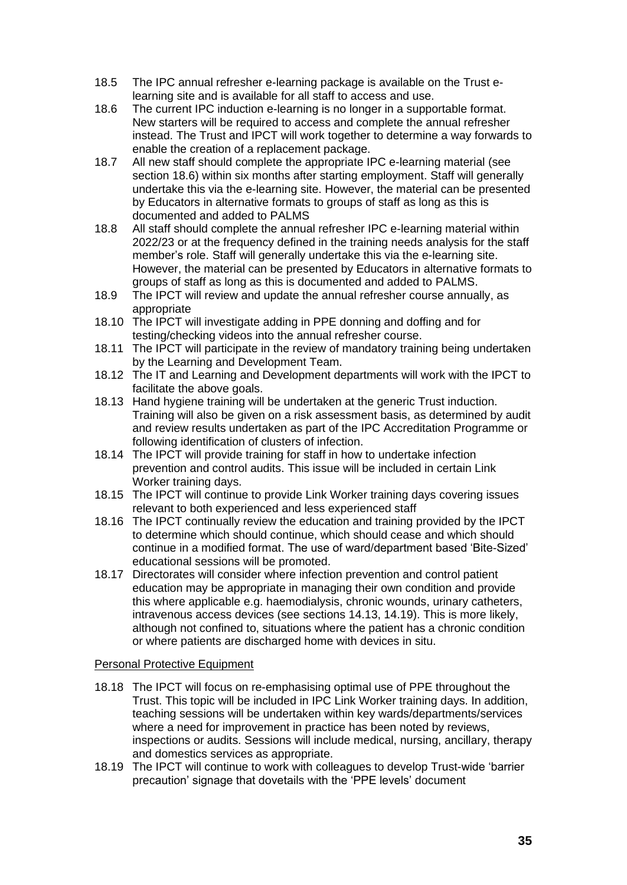- 18.5 The IPC annual refresher e-learning package is available on the Trust elearning site and is available for all staff to access and use.
- 18.6 The current IPC induction e-learning is no longer in a supportable format. New starters will be required to access and complete the annual refresher instead. The Trust and IPCT will work together to determine a way forwards to enable the creation of a replacement package.
- 18.7 All new staff should complete the appropriate IPC e-learning material (see section 18.6) within six months after starting employment. Staff will generally undertake this via the e-learning site. However, the material can be presented by Educators in alternative formats to groups of staff as long as this is documented and added to PALMS
- 18.8 All staff should complete the annual refresher IPC e-learning material within 2022/23 or at the frequency defined in the training needs analysis for the staff member's role. Staff will generally undertake this via the e-learning site. However, the material can be presented by Educators in alternative formats to groups of staff as long as this is documented and added to PALMS.
- 18.9 The IPCT will review and update the annual refresher course annually, as appropriate
- 18.10 The IPCT will investigate adding in PPE donning and doffing and for testing/checking videos into the annual refresher course.
- 18.11 The IPCT will participate in the review of mandatory training being undertaken by the Learning and Development Team.
- 18.12 The IT and Learning and Development departments will work with the IPCT to facilitate the above goals.
- 18.13 Hand hygiene training will be undertaken at the generic Trust induction. Training will also be given on a risk assessment basis, as determined by audit and review results undertaken as part of the IPC Accreditation Programme or following identification of clusters of infection.
- 18.14 The IPCT will provide training for staff in how to undertake infection prevention and control audits. This issue will be included in certain Link Worker training days.
- 18.15 The IPCT will continue to provide Link Worker training days covering issues relevant to both experienced and less experienced staff
- 18.16 The IPCT continually review the education and training provided by the IPCT to determine which should continue, which should cease and which should continue in a modified format. The use of ward/department based 'Bite-Sized' educational sessions will be promoted.
- 18.17 Directorates will consider where infection prevention and control patient education may be appropriate in managing their own condition and provide this where applicable e.g. haemodialysis, chronic wounds, urinary catheters, intravenous access devices (see sections 14.13, 14.19). This is more likely, although not confined to, situations where the patient has a chronic condition or where patients are discharged home with devices in situ.

#### Personal Protective Equipment

- 18.18 The IPCT will focus on re-emphasising optimal use of PPE throughout the Trust. This topic will be included in IPC Link Worker training days. In addition, teaching sessions will be undertaken within key wards/departments/services where a need for improvement in practice has been noted by reviews, inspections or audits. Sessions will include medical, nursing, ancillary, therapy and domestics services as appropriate.
- 18.19 The IPCT will continue to work with colleagues to develop Trust-wide 'barrier precaution' signage that dovetails with the 'PPE levels' document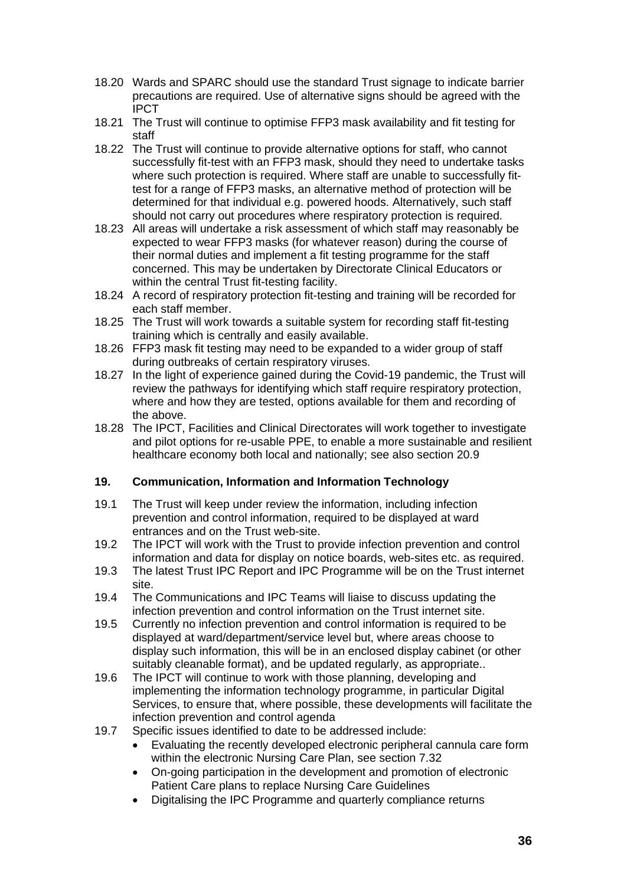- 18.20 Wards and SPARC should use the standard Trust signage to indicate barrier precautions are required. Use of alternative signs should be agreed with the IPCT
- 18.21 The Trust will continue to optimise FFP3 mask availability and fit testing for staff
- 18.22 The Trust will continue to provide alternative options for staff, who cannot successfully fit-test with an FFP3 mask, should they need to undertake tasks where such protection is required. Where staff are unable to successfully fittest for a range of FFP3 masks, an alternative method of protection will be determined for that individual e.g. powered hoods. Alternatively, such staff should not carry out procedures where respiratory protection is required.
- 18.23 All areas will undertake a risk assessment of which staff may reasonably be expected to wear FFP3 masks (for whatever reason) during the course of their normal duties and implement a fit testing programme for the staff concerned. This may be undertaken by Directorate Clinical Educators or within the central Trust fit-testing facility.
- 18.24 A record of respiratory protection fit-testing and training will be recorded for each staff member.
- 18.25 The Trust will work towards a suitable system for recording staff fit-testing training which is centrally and easily available.
- 18.26 FFP3 mask fit testing may need to be expanded to a wider group of staff during outbreaks of certain respiratory viruses.
- 18.27 In the light of experience gained during the Covid-19 pandemic, the Trust will review the pathways for identifying which staff require respiratory protection, where and how they are tested, options available for them and recording of the above.
- 18.28 The IPCT, Facilities and Clinical Directorates will work together to investigate and pilot options for re-usable PPE, to enable a more sustainable and resilient healthcare economy both local and nationally; see also section 20.9

#### **19. Communication, Information and Information Technology**

- 19.1 The Trust will keep under review the information, including infection prevention and control information, required to be displayed at ward entrances and on the Trust web-site.
- 19.2 The IPCT will work with the Trust to provide infection prevention and control information and data for display on notice boards, web-sites etc. as required.
- 19.3 The latest Trust IPC Report and IPC Programme will be on the Trust internet site.
- 19.4 The Communications and IPC Teams will liaise to discuss updating the infection prevention and control information on the Trust internet site.
- 19.5 Currently no infection prevention and control information is required to be displayed at ward/department/service level but, where areas choose to display such information, this will be in an enclosed display cabinet (or other suitably cleanable format), and be updated regularly, as appropriate..
- 19.6 The IPCT will continue to work with those planning, developing and implementing the information technology programme, in particular Digital Services, to ensure that, where possible, these developments will facilitate the infection prevention and control agenda
- 19.7 Specific issues identified to date to be addressed include:
	- Evaluating the recently developed electronic peripheral cannula care form within the electronic Nursing Care Plan, see section 7.32
	- On-going participation in the development and promotion of electronic Patient Care plans to replace Nursing Care Guidelines
	- Digitalising the IPC Programme and quarterly compliance returns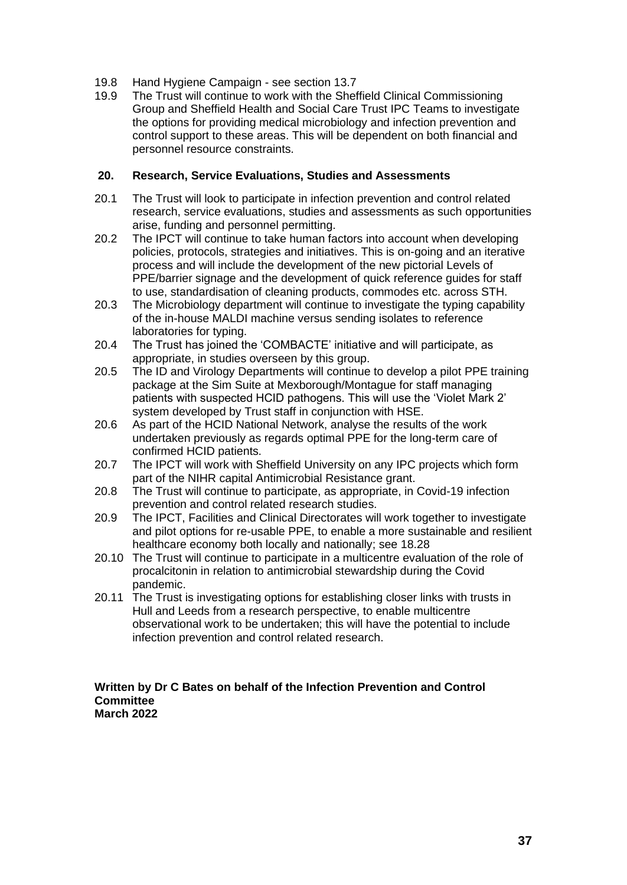- 19.8 Hand Hygiene Campaign see section 13.7
- 19.9 The Trust will continue to work with the Sheffield Clinical Commissioning Group and Sheffield Health and Social Care Trust IPC Teams to investigate the options for providing medical microbiology and infection prevention and control support to these areas. This will be dependent on both financial and personnel resource constraints.

## **20. Research, Service Evaluations, Studies and Assessments**

- 20.1 The Trust will look to participate in infection prevention and control related research, service evaluations, studies and assessments as such opportunities arise, funding and personnel permitting.
- 20.2 The IPCT will continue to take human factors into account when developing policies, protocols, strategies and initiatives. This is on-going and an iterative process and will include the development of the new pictorial Levels of PPE/barrier signage and the development of quick reference guides for staff to use, standardisation of cleaning products, commodes etc. across STH.
- 20.3 The Microbiology department will continue to investigate the typing capability of the in-house MALDI machine versus sending isolates to reference laboratories for typing.
- 20.4 The Trust has joined the 'COMBACTE' initiative and will participate, as appropriate, in studies overseen by this group.
- 20.5 The ID and Virology Departments will continue to develop a pilot PPE training package at the Sim Suite at Mexborough/Montague for staff managing patients with suspected HCID pathogens. This will use the 'Violet Mark 2' system developed by Trust staff in conjunction with HSE.
- 20.6 As part of the HCID National Network, analyse the results of the work undertaken previously as regards optimal PPE for the long-term care of confirmed HCID patients.
- 20.7 The IPCT will work with Sheffield University on any IPC projects which form part of the NIHR capital Antimicrobial Resistance grant.
- 20.8 The Trust will continue to participate, as appropriate, in Covid-19 infection prevention and control related research studies.
- 20.9 The IPCT, Facilities and Clinical Directorates will work together to investigate and pilot options for re-usable PPE, to enable a more sustainable and resilient healthcare economy both locally and nationally; see 18.28
- 20.10 The Trust will continue to participate in a multicentre evaluation of the role of procalcitonin in relation to antimicrobial stewardship during the Covid pandemic.
- 20.11 The Trust is investigating options for establishing closer links with trusts in Hull and Leeds from a research perspective, to enable multicentre observational work to be undertaken; this will have the potential to include infection prevention and control related research.

#### **Written by Dr C Bates on behalf of the Infection Prevention and Control Committee March 2022**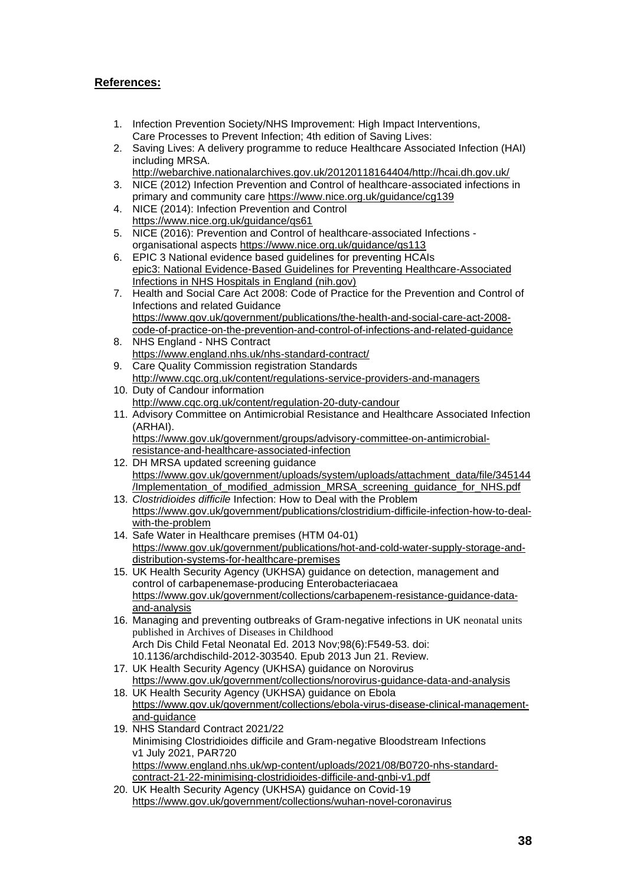## **References:**

- 1. Infection Prevention Society/NHS Improvement: High Impact Interventions, Care Processes to Prevent Infection; 4th edition of Saving Lives:
- 2. Saving Lives: A delivery programme to reduce Healthcare Associated Infection (HAI) including MRSA.
- [http://webarchive.nationalarchives.gov.uk/20120118164404/http://hcai.dh.gov.uk/](http://webarchive.nationalarchives.gov.uk/20120118164404/http:/hcai.dh.gov.uk/)
- 3. NICE (2012) Infection Prevention and Control of healthcare-associated infections in primary and community care<https://www.nice.org.uk/guidance/cg139>
- 4. NICE (2014): Infection Prevention and Control <https://www.nice.org.uk/guidance/qs61>
- 5. NICE (2016): Prevention and Control of healthcare-associated Infections organisational aspects <https://www.nice.org.uk/guidance/qs113>
- 6. EPIC 3 National evidence based guidelines for preventing HCAIs [epic3: National Evidence-Based Guidelines for Preventing Healthcare-Associated](https://www.ncbi.nlm.nih.gov/pmc/articles/PMC7114876/)  [Infections in NHS Hospitals in England \(nih.gov\)](https://www.ncbi.nlm.nih.gov/pmc/articles/PMC7114876/)
- 7. Health and Social Care Act 2008: Code of Practice for the Prevention and Control of Infections and related Guidance [https://www.gov.uk/government/publications/the-health-and-social-care-act-2008](https://www.gov.uk/government/publications/the-health-and-social-care-act-2008-code-of-practice-on-the-prevention-and-control-of-infections-and-related-guidance) [code-of-practice-on-the-prevention-and-control-of-infections-and-related-guidance](https://www.gov.uk/government/publications/the-health-and-social-care-act-2008-code-of-practice-on-the-prevention-and-control-of-infections-and-related-guidance)
- 8. NHS England NHS Contract <https://www.england.nhs.uk/nhs-standard-contract/>
- 9. Care Quality Commission registration Standards <http://www.cqc.org.uk/content/regulations-service-providers-and-managers>
- 10. Duty of Candour information <http://www.cqc.org.uk/content/regulation-20-duty-candour>
- 11. Advisory Committee on Antimicrobial Resistance and Healthcare Associated Infection (ARHAI). [https://www.gov.uk/government/groups/advisory-committee-on-antimicrobial-](https://www.gov.uk/government/groups/advisory-committee-on-antimicrobial-resistance-and-healthcare-associated-infection)

[resistance-and-healthcare-associated-infection](https://www.gov.uk/government/groups/advisory-committee-on-antimicrobial-resistance-and-healthcare-associated-infection)

- 12. DH MRSA updated screening guidance [https://www.gov.uk/government/uploads/system/uploads/attachment\\_data/file/345144](https://www.gov.uk/government/uploads/system/uploads/attachment_data/file/345144/Implementation_of_modified_admission_MRSA_screening_guidance_for_NHS.pdf) [/Implementation\\_of\\_modified\\_admission\\_MRSA\\_screening\\_guidance\\_for\\_NHS.pdf](https://www.gov.uk/government/uploads/system/uploads/attachment_data/file/345144/Implementation_of_modified_admission_MRSA_screening_guidance_for_NHS.pdf)
- 13. *Clostridioides difficile* Infection: How to Deal with the Problem [https://www.gov.uk/government/publications/clostridium-difficile-infection-how-to-deal](https://www.gov.uk/government/publications/clostridium-difficile-infection-how-to-deal-with-the-problem)[with-the-problem](https://www.gov.uk/government/publications/clostridium-difficile-infection-how-to-deal-with-the-problem)
- 14. Safe Water in Healthcare premises (HTM 04-01) [https://www.gov.uk/government/publications/hot-and-cold-water-supply-storage-and](https://www.gov.uk/government/publications/hot-and-cold-water-supply-storage-and-distribution-systems-for-healthcare-premises)[distribution-systems-for-healthcare-premises](https://www.gov.uk/government/publications/hot-and-cold-water-supply-storage-and-distribution-systems-for-healthcare-premises)
- 15. UK Health Security Agency (UKHSA) guidance on detection, management and control of carbapenemase-producing Enterobacteriacaea [https://www.gov.uk/government/collections/carbapenem-resistance-guidance-data](https://www.gov.uk/government/collections/carbapenem-resistance-guidance-data-and-analysis)[and-analysis](https://www.gov.uk/government/collections/carbapenem-resistance-guidance-data-and-analysis)
- 16. Managing and preventing outbreaks of Gram-negative infections in UK neonatal units published in Archives of Diseases in Childhood Arch Dis Child Fetal Neonatal Ed. 2013 Nov;98(6):F549-53. doi: 10.1136/archdischild-2012-303540. Epub 2013 Jun 21. Review.
- 17. UK Health Security Agency (UKHSA) guidance on Norovirus <https://www.gov.uk/government/collections/norovirus-guidance-data-and-analysis>
- 18. UK Health Security Agency (UKHSA) guidance on Ebola [https://www.gov.uk/government/collections/ebola-virus-disease-clinical-management](https://www.gov.uk/government/collections/ebola-virus-disease-clinical-management-and-guidance)[and-guidance](https://www.gov.uk/government/collections/ebola-virus-disease-clinical-management-and-guidance)
- 19. NHS Standard Contract 2021/22 Minimising Clostridioides difficile and Gram-negative Bloodstream Infections v1 July 2021, PAR720 [https://www.england.nhs.uk/wp-content/uploads/2021/08/B0720-nhs-standard](https://www.england.nhs.uk/wp-content/uploads/2021/08/B0720-nhs-standard-contract-21-22-minimising-clostridioides-difficile-and-gnbi-v1.pdf)[contract-21-22-minimising-clostridioides-difficile-and-gnbi-v1.pdf](https://www.england.nhs.uk/wp-content/uploads/2021/08/B0720-nhs-standard-contract-21-22-minimising-clostridioides-difficile-and-gnbi-v1.pdf)
- 20. UK Health Security Agency (UKHSA) guidance on Covid-19 <https://www.gov.uk/government/collections/wuhan-novel-coronavirus>